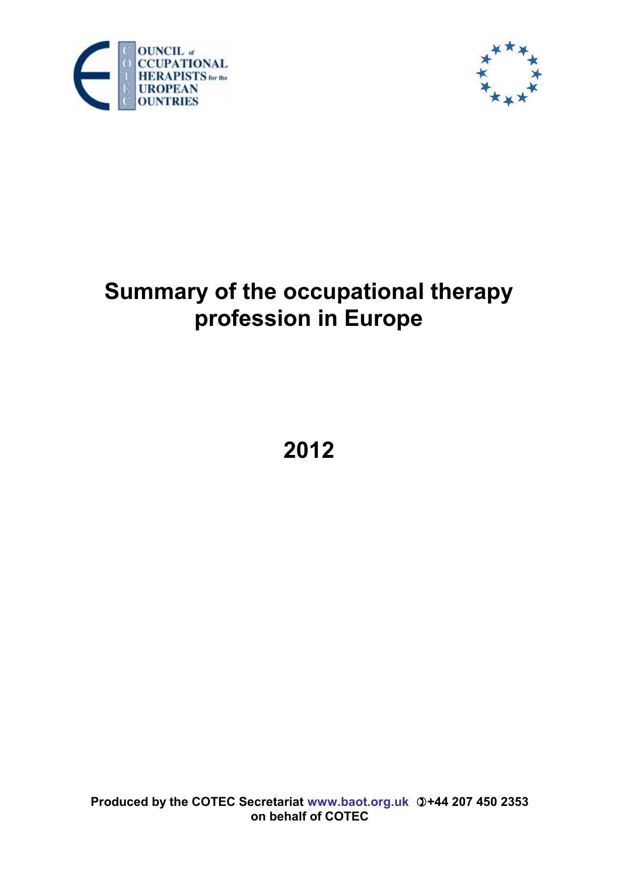



# **Summary of the occupational therapy profession in Europe**

**2012**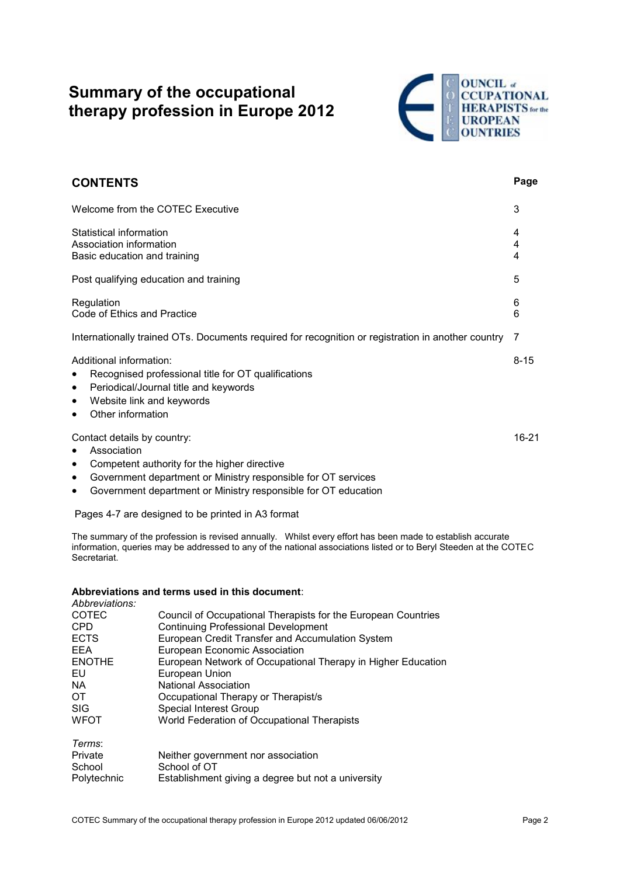## **Summary of the occupational therapy profession in Europe 2012**



| <b>CONTENTS</b>                                                                                                                                                                                                                                                           | Page        |
|---------------------------------------------------------------------------------------------------------------------------------------------------------------------------------------------------------------------------------------------------------------------------|-------------|
| Welcome from the COTEC Executive                                                                                                                                                                                                                                          | 3           |
| Statistical information<br>Association information<br>Basic education and training                                                                                                                                                                                        | 4<br>4<br>4 |
| Post qualifying education and training                                                                                                                                                                                                                                    | 5           |
| Regulation<br>Code of Ethics and Practice                                                                                                                                                                                                                                 | 6<br>6      |
| Internationally trained OTs. Documents required for recognition or registration in another country                                                                                                                                                                        | 7           |
| Additional information:<br>Recognised professional title for OT qualifications<br>٠<br>Periodical/Journal title and keywords<br>$\bullet$<br>Website link and keywords<br>$\bullet$<br>Other information<br>$\bullet$                                                     | $8 - 15$    |
| Contact details by country:<br>Association<br>$\bullet$<br>Competent authority for the higher directive<br>$\bullet$<br>Government department or Ministry responsible for OT services<br>٠<br>Government department or Ministry responsible for OT education<br>$\bullet$ | 16-21       |

Pages 4-7 are designed to be printed in A3 format

The summary of the profession is revised annually. Whilst every effort has been made to establish accurate information, queries may be addressed to any of the national associations listed or to Beryl Steeden at the COTEC Secretariat.

#### **Abbreviations and terms used in this document**:

| Abbreviations: |                                                               |
|----------------|---------------------------------------------------------------|
| <b>COTEC</b>   | Council of Occupational Therapists for the European Countries |
| <b>CPD</b>     | <b>Continuing Professional Development</b>                    |
| <b>ECTS</b>    | European Credit Transfer and Accumulation System              |
| <b>EEA</b>     | European Economic Association                                 |
| <b>ENOTHE</b>  | European Network of Occupational Therapy in Higher Education  |
| EU             | European Union                                                |
| <b>NA</b>      | <b>National Association</b>                                   |
| ОT             | Occupational Therapy or Therapist/s                           |
| <b>SIG</b>     | Special Interest Group                                        |
| <b>WFOT</b>    | World Federation of Occupational Therapists                   |
| Terms:         |                                                               |
| Private        | Neither government nor association                            |

Polytechnic Establishment giving a degree but not a university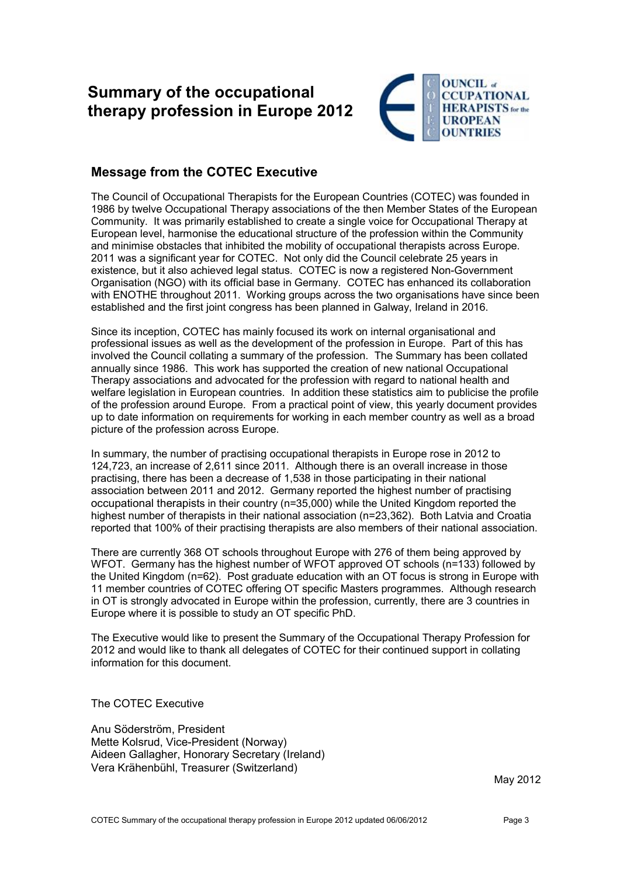## **Summary of the occupational therapy profession in Europe 2012**



#### **Message from the COTEC Executive**

The Council of Occupational Therapists for the European Countries (COTEC) was founded in 1986 by twelve Occupational Therapy associations of the then Member States of the European Community. It was primarily established to create a single voice for Occupational Therapy at European level, harmonise the educational structure of the profession within the Community and minimise obstacles that inhibited the mobility of occupational therapists across Europe. 2011 was a significant year for COTEC. Not only did the Council celebrate 25 years in existence, but it also achieved legal status. COTEC is now a registered Non-Government Organisation (NGO) with its official base in Germany. COTEC has enhanced its collaboration with ENOTHE throughout 2011. Working groups across the two organisations have since been established and the first joint congress has been planned in Galway, Ireland in 2016.

Since its inception, COTEC has mainly focused its work on internal organisational and professional issues as well as the development of the profession in Europe. Part of this has involved the Council collating a summary of the profession. The Summary has been collated annually since 1986. This work has supported the creation of new national Occupational Therapy associations and advocated for the profession with regard to national health and welfare legislation in European countries. In addition these statistics aim to publicise the profile of the profession around Europe. From a practical point of view, this yearly document provides up to date information on requirements for working in each member country as well as a broad picture of the profession across Europe.

In summary, the number of practising occupational therapists in Europe rose in 2012 to 124,723, an increase of 2,611 since 2011. Although there is an overall increase in those practising, there has been a decrease of 1,538 in those participating in their national association between 2011 and 2012. Germany reported the highest number of practising occupational therapists in their country (n=35,000) while the United Kingdom reported the highest number of therapists in their national association (n=23,362). Both Latvia and Croatia reported that 100% of their practising therapists are also members of their national association.

There are currently 368 OT schools throughout Europe with 276 of them being approved by WFOT. Germany has the highest number of WFOT approved OT schools (n=133) followed by the United Kingdom (n=62). Post graduate education with an OT focus is strong in Europe with 11 member countries of COTEC offering OT specific Masters programmes. Although research in OT is strongly advocated in Europe within the profession, currently, there are 3 countries in Europe where it is possible to study an OT specific PhD.

The Executive would like to present the Summary of the Occupational Therapy Profession for 2012 and would like to thank all delegates of COTEC for their continued support in collating information for this document.

The COTEC Executive

Anu Söderström, President Mette Kolsrud, Vice-President (Norway) Aideen Gallagher, Honorary Secretary (Ireland) Vera Krähenbühl, Treasurer (Switzerland)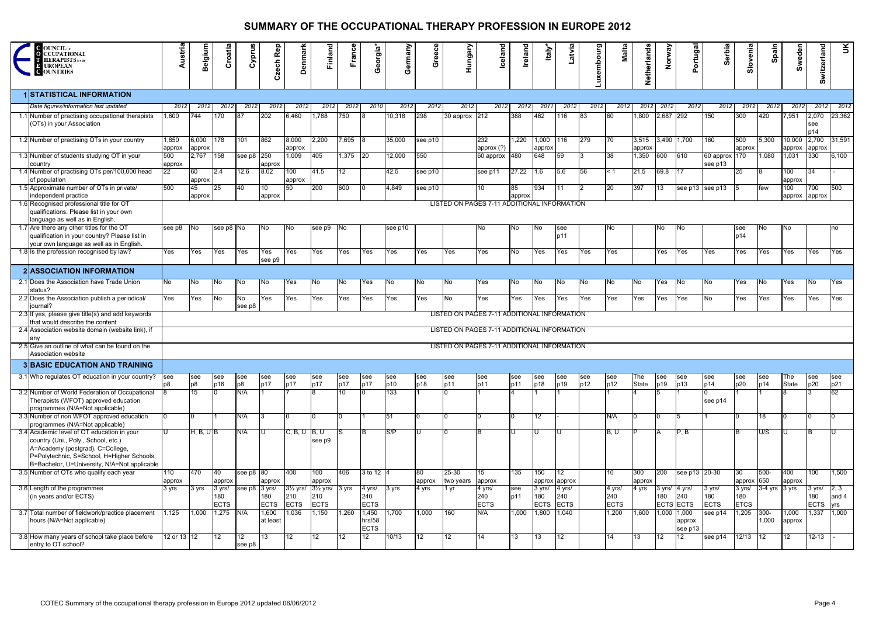| <b>C</b> OUNCIL <i>a</i><br><b>O</b> CCUPATIONAL<br><b>HERAPISTS</b> for the<br><b>E UROPEAN</b><br><b>C</b> OUNTRIES                                                                                               | Austria         | Belgium                                     | Croatia                      | Cyprus              | Czech Rep         | <b>Denmark</b>                                                        | Finland            | France     | Georgia*                       | Germany    | Greece       | Hungary                | <b>Iceland</b>                              | Ireland      | Italy                        | Latvia                       | Luxembourg | Malta                        | Netherlands       | Norway                                   | Portugal          | Serbia                       | Slovenia           | Spain                | Sweden           | Switzerland                  | š                                     |
|---------------------------------------------------------------------------------------------------------------------------------------------------------------------------------------------------------------------|-----------------|---------------------------------------------|------------------------------|---------------------|-------------------|-----------------------------------------------------------------------|--------------------|------------|--------------------------------|------------|--------------|------------------------|---------------------------------------------|--------------|------------------------------|------------------------------|------------|------------------------------|-------------------|------------------------------------------|-------------------|------------------------------|--------------------|----------------------|------------------|------------------------------|---------------------------------------|
| <b>1 STATISTICAL INFORMATION</b>                                                                                                                                                                                    |                 |                                             |                              |                     |                   |                                                                       |                    |            |                                |            |              |                        |                                             |              |                              |                              |            |                              |                   |                                          |                   |                              |                    |                      |                  |                              |                                       |
| Date figures/information last updated                                                                                                                                                                               | 2012            | 2012                                        | 2012                         | 2012                | 2012              | 2012                                                                  | 2012               | 2012       | 2010                           | 2012       | 2012         | 2012                   | 2012                                        | 2012         | 2011                         | 2012                         | 2012       | 2012                         | 2012              | 2012                                     | 2012              | 2012                         | 2012               | 2012                 | 2012             | 2012                         | 2012                                  |
| 1.1 Number of practising occupational therapists<br>(OTs) in your Association                                                                                                                                       | 1,600           | 744                                         | 170                          | 187                 | 202               | 6,460                                                                 | 1,788              | 750        |                                | 10,318     | 298          | 30 approx 212          |                                             | 388          | 462                          | 116                          | 83         | <b>60</b>                    | ,800              | 2,687 292                                |                   | 150                          | 300                | 420                  | 7,951            | 2,070<br>see<br>p14          | 23,362                                |
| 1.2 Number of practising OTs in your country                                                                                                                                                                        | 1,850<br>approx | 6,000<br>approx                             | 178                          | 101                 | 862               | 8,000<br>approx                                                       | 2,200              | 7,695 8    |                                | 35,000     | see p10      |                        | 232<br>approx (?)                           | 1,220        | 1,000 116<br>approx          |                              | 279        | <b>70</b>                    | 3,515<br>approx   | 3,490 1,700                              |                   | 160                          | 500<br>approx      | 5,300                | 10,000<br>approx | 2,700<br>approx              | 31,591                                |
| 1.3 Number of students studying OT in your<br>country                                                                                                                                                               | 500<br>approx   | 2,767                                       | 158                          | see p8 250          | approx            | 1,009                                                                 | 405                | 1,375 20   |                                | 12,000     | 550          |                        | 60 approx 480                               |              | 648                          | 59                           |            | 38                           | 1,350             | 600                                      | 610               | 60 approx 170<br>see p13     |                    | 1,080                | 1,031            | 330                          | 6,100                                 |
| 1.4 Number of practising OTs per/100,000 head<br>of population                                                                                                                                                      | 22              | 60<br>approx                                | 2.4                          | 12.6                | 8.02              | 100<br>approx                                                         | 41.5               | 12         |                                | 42.5       | see p10      |                        | see p11                                     | 27.22        | I1.6                         | 5.6                          | 56         | l< 1                         | 21.5              | 69.8                                     | 117               |                              | 25                 |                      | 100<br>approx    | 34                           |                                       |
| 1.5 Approximate number of OTs in private/<br>independent practice                                                                                                                                                   | 500             | 45<br>approx                                | 25                           | 40                  | 10<br>approx      | 50                                                                    | 200                | 600        |                                | 4,849      | see p10      |                        | 10                                          | 85<br>approx | 934                          | 11                           |            | 20                           | 397               | 13                                       | see p13 see p13   |                              | 15                 | few                  | 100<br>approx    | 700<br>approx                | 500                                   |
| 1.6 Recognised professional title for OT<br>qualifications. Please list in your own<br>language as well as in English.                                                                                              |                 |                                             |                              |                     |                   |                                                                       |                    |            |                                |            |              |                        | LISTED ON PAGES 7-11 ADDITIONAL INFORMATION |              |                              |                              |            |                              |                   |                                          |                   |                              |                    |                      |                  |                              |                                       |
| 1.7 Are there any other titles for the OT<br>qualification in your country? Please list in<br>your own language as well as in English                                                                               | see p8          | INo.                                        | see p8 No                    |                     | INo.              | No.                                                                   | see p9             | - INo      |                                | see p10    |              |                        | No                                          | No.          | INo.                         | see<br>p11                   |            | No.                          |                   | No.                                      | INo.              |                              | see<br>p14         | No.                  | INo.             |                              | no                                    |
| 1.8 Is the profession recognised by law?                                                                                                                                                                            | Yes             | Yes                                         | Yes                          | Yes                 | Yes<br>see p9     | Yes                                                                   | Yes                | Yes        | Yes                            | Yes        | Yes          | Yes                    | Yes                                         | No           | Yes                          | Yes                          | Yes        | Yes                          |                   | Yes                                      | Yes               | Yes                          | Yes                | Yes                  | Yes              | Yes                          | Yes                                   |
| <b>2 ASSOCIATION INFORMATION</b>                                                                                                                                                                                    |                 |                                             |                              |                     |                   |                                                                       |                    |            |                                |            |              |                        |                                             |              |                              |                              |            |                              |                   |                                          |                   |                              |                    |                      |                  |                              |                                       |
| 2.1 Does the Association have Trade Union<br>status?                                                                                                                                                                | No              | No                                          | No                           | No.                 | No                | Yes                                                                   | No                 | No         | Yes                            | No         | No           | No                     | Yes                                         | No           | No                           | No                           | No.        | No                           | No                | Yes                                      | No                | No                           | Yes                | No                   | Yes              | No                           | Yes                                   |
| 2.2 Does the Association publish a periodical/<br>journal'                                                                                                                                                          | Yes             | Yes                                         | No                           | No<br>see p8        | Yes               | Yes                                                                   | Yes                | Yes        | Yes                            | Yes        | Yes          | No                     | Yes                                         | Yes          | Yes                          | Yes                          | Yes        | Yes                          | Yes               | Yes                                      | Yes               | No                           | Yes                | Yes                  | Yes              | Yes                          | Yes                                   |
| 2.3 If yes, please give title(s) and add keywords<br>that would describe the content                                                                                                                                |                 | LISTED ON PAGES 7-11 ADDITIONAL INFORMATION |                              |                     |                   |                                                                       |                    |            |                                |            |              |                        |                                             |              |                              |                              |            |                              |                   |                                          |                   |                              |                    |                      |                  |                              |                                       |
| 2.4 Association website domain (website link), if<br>any                                                                                                                                                            |                 |                                             |                              |                     |                   |                                                                       |                    |            |                                |            |              |                        | LISTED ON PAGES 7-11 ADDITIONAL INFORMATION |              |                              |                              |            |                              |                   |                                          |                   |                              |                    |                      |                  |                              |                                       |
| 2.5 Give an outline of what can be found on the<br>Association website                                                                                                                                              |                 |                                             |                              |                     |                   |                                                                       |                    |            |                                |            |              |                        | LISTED ON PAGES 7-11 ADDITIONAL INFORMATION |              |                              |                              |            |                              |                   |                                          |                   |                              |                    |                      |                  |                              |                                       |
| <b>3 BASIC EDUCATION AND TRAINING</b>                                                                                                                                                                               |                 |                                             |                              |                     |                   |                                                                       |                    |            |                                |            |              |                        |                                             |              |                              |                              |            |                              |                   |                                          |                   |                              |                    |                      |                  |                              |                                       |
| 3.1 Who regulates OT education in your country?                                                                                                                                                                     | see             | see<br>p8                                   | see<br>p16                   | see<br>p8           | see<br>p17        | see<br>p17                                                            | see<br>p17         | see<br>p17 | see<br>p17                     | see<br>p10 | see<br>p18   | see<br>p11             | see<br>p11                                  | see<br>p11   | see<br>p18                   | see<br>p19                   | see<br>p12 | see<br>p12                   | The<br>State      | see<br>p19                               | <b>see</b><br>p13 | see<br>p14                   | see<br>p20         | see<br>p14           | The<br>State     | see<br>p20                   | see<br>p21                            |
| 3.2 Number of World Federation of Occupational<br>Therapists (WFOT) approved education<br>programmes (N/A=Not applicable)                                                                                           |                 | 15                                          |                              | N/A                 |                   |                                                                       |                    | 10         |                                | 133        |              |                        |                                             |              |                              |                              |            |                              |                   |                                          |                   | see p14                      |                    |                      |                  |                              | 62                                    |
| 3.3 Number of non WFOT approved education<br>programmes (N/A=Not applicable)                                                                                                                                        |                 |                                             |                              | N/A                 | 13                |                                                                       |                    |            |                                | <b>51</b>  | m            |                        |                                             |              | l 12                         |                              |            | N/A                          | 10.               |                                          | 15                |                              |                    | 18                   |                  |                              |                                       |
| 3.4 Academic level of OT education in your<br>country (Uni., Poly., School, etc.)<br>A=Academy (postgrad), C=College,<br>P=Polytechnic, S=School, H=Higher Schools,<br>B=Bachelor, U=University, N/A=Not applicable |                 | H, B, U B                                   |                              | N/A                 |                   | $C, B, U$ $ B, U $                                                    | see p9             |            |                                | S/P        | ЦJ           |                        |                                             |              |                              | IU                           |            | B. U                         |                   |                                          | P, B              |                              |                    | U/S                  |                  |                              |                                       |
| 3.5 Number of OTs who qualify each year                                                                                                                                                                             | 110<br>approx   | 470                                         | 40<br>approx                 | see $p8 80$         | approx            | 400                                                                   | 100<br>approx      | 406        | $3 \text{ to } 12$  4          |            | 80<br>approx | $25 - 30$<br>two years | 15<br>approx                                | 135          | 150                          | <b>112</b><br>approx approx  |            | 10                           | 300<br>approx     | 200                                      | see p13 20-30     |                              | 30<br>approx       | $500 -$<br>650       | 400<br>approx    | 100                          | 1,500                                 |
| 3.6 Length of the programmes<br>(in years and/or ECTS)                                                                                                                                                              | 3 yrs           | 3 yrs                                       | 3 yrs/<br>180<br><b>ECTS</b> | see p8 3 yrs/       | 180<br>ECTS       | $3\frac{1}{2}$ yrs/ $3\frac{1}{2}$ yrs/ $3$ yrs<br>210<br><b>ECTS</b> | 210<br><b>ECTS</b> |            | 4 yrs/<br>240<br><b>ECTS</b>   | 3 yrs      | 4 yrs        | 1 yr                   | 4 yrs/<br>240<br><b>ECTS</b>                | see<br>p11   | 3 yrs/<br>180<br><b>ECTS</b> | 4 yrs/<br>240<br><b>ECTS</b> |            | 4 yrs/<br>240<br><b>ECTS</b> | 4 yrs             | 3 yrs/ 4 yrs/<br>180<br><b>ECTS ECTS</b> | 240               | 3 yrs/<br>180<br><b>ECTS</b> | 180<br><b>ETCS</b> | 3 yrs/ 3-4 yrs 3 yrs |                  | 3 yrs/<br>180<br><b>ECTS</b> | $\left  2, 3 \right $<br>and 4<br>yrs |
| 3.7 Total number of fieldwork/practice placement<br>hours (N/A=Not applicable)                                                                                                                                      | 1,125           | 1,000                                       | $1,275$ N/A                  |                     | 1,600<br>at least | 1,036                                                                 | 1,150              | 1,260      | 1,450<br>hrs/58<br><b>ECTS</b> | 1,700      | 1,000        | 160                    | N/A                                         | 1,000        | 1,800                        | 1,040                        |            | 1,200                        | 1,600 1,000 1,000 |                                          | approx<br>see p13 | see p14                      | 1,205              | $300 -$<br>1,000     | 1,000<br>approx  | 1,337                        | 1,000                                 |
| 3.8 How many years of school take place before<br>entry to OT school?                                                                                                                                               | 12 or 13 12     |                                             | 12                           | <b>12</b><br>see p8 | <b>13</b>         | 12                                                                    | 12                 | 12         | 12                             | 10/13      | 12           | 12                     | 14                                          | 13           | 13                           | <b>12</b>                    |            | 14                           | <b>1</b> 3        | <b>12</b>                                | $ 12\rangle$      | see p14                      | $12/13$ 12         |                      | 12               | $12 - 13$                    |                                       |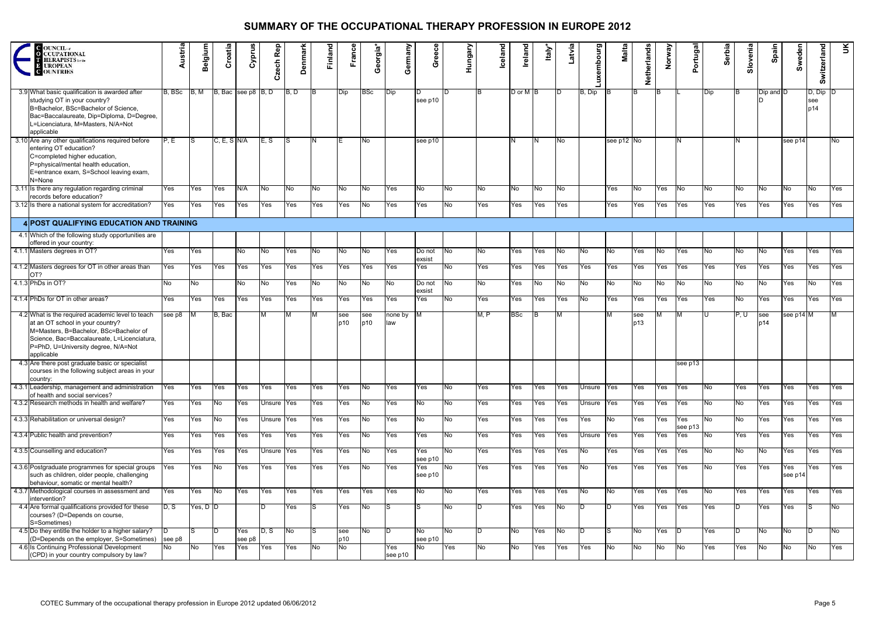| <b>C</b> OUNCIL at<br><b>CUPATIONAL</b><br><b>TERAPISTS</b> for the<br>$\overline{13}$<br><b>UROPEAN</b><br>OUNTRIES                                                                                                               | Austria      | <b>Belgium</b> | Croatia       | Cyprus             | Rep<br>Czech | <b>Denmark</b> | <b>Finland</b> | France      | Georgia*   | Germany        | Greece           | Hungary        | <b>Iceland</b> | Ireland        | Italy | Latvia | uxembourg  | Malta      | Netherlands | Norway    | Portugal       | Serbia | Slovenia  | Spain      | Sweden         | Switzerland                | Ř          |
|------------------------------------------------------------------------------------------------------------------------------------------------------------------------------------------------------------------------------------|--------------|----------------|---------------|--------------------|--------------|----------------|----------------|-------------|------------|----------------|------------------|----------------|----------------|----------------|-------|--------|------------|------------|-------------|-----------|----------------|--------|-----------|------------|----------------|----------------------------|------------|
| 3.9 What basic qualification is awarded after<br>studying OT in your country?<br>B=Bachelor, BSc=Bachelor of Science,<br>Bac=Baccalaureate, Dip=Diploma, D=Degree,<br>L=Licenciatura, M=Masters, N/A=Not<br>applicable             | B. BSc       | IB, M          |               | B, Bac see p8 B, D |              | B, D           | ΙB             | <b>IDip</b> | <b>BSc</b> | <b>IDip</b>    | see p10          |                |                | $D$ or $M$ $B$ |       | ID     | B, Dip     |            | IB.         | IB.       |                | Dip    | IB.       | Dip and D  |                | $D, Dip$ $D$<br>see<br>p14 |            |
| 3.10 Are any other qualifications required before<br>entering OT education?<br>C=completed higher education,<br>P=physical/mental health education,<br>E=entrance exam, S=School leaving exam,<br>N=None                           | P.E          | S              | $C, E, S$ N/A |                    | E, S         | IS             | IN.            |             | No         |                | see p10          |                |                | N              | IN.   | No.    |            | see p12 No |             |           | IN.            |        |           |            | see p14        |                            | No.        |
| 3.11 Is there any regulation regarding criminal<br>records before education?                                                                                                                                                       | Yes          | Yes            | Yes           | N/A                | No           | No.            | No.            | No          | No         | Yes            | No.              | No.            | No             | No.            | No    | No.    |            | Yes        | INo I       | Yes       | No             | No.    | No.       | No.        | No             | No                         | <b>Yes</b> |
| 3.12 Is there a national system for accreditation?                                                                                                                                                                                 | Yes          | Yes            | Yes           | Yes                | Yes          | Yes            | Yes            | Yes         | INo.       | Yes            | Yes              | No             | Yes            | Yes            | Yes   | Yes    |            | Yes        | Yes         | Yes       | <b>Yes</b>     | Yes    | Yes       | Yes        | Yes            | Yes                        | Yes        |
| 4 POST QUALIFYING EDUCATION AND TRAINING                                                                                                                                                                                           |              |                |               |                    |              |                |                |             |            |                |                  |                |                |                |       |        |            |            |             |           |                |        |           |            |                |                            |            |
| 4.1 Which of the following study opportunities are<br>offered in your country:                                                                                                                                                     |              |                |               |                    |              |                |                |             |            |                |                  |                |                |                |       |        |            |            |             |           |                |        |           |            |                |                            |            |
| 4.1.1 Masters degrees in OT?                                                                                                                                                                                                       | Yes          | Yes            |               | No.                | No           | Yes            | <b>No</b>      | No          | INo.       | Yes            | Do not<br>exsist | N <sub>o</sub> | No             | Yes            | Yes   | No.    | No         | No         | Yes         | No.       | Yes            | No.    | No.       | No.        | Yes            | Yes                        | Yes        |
| 4.1.2 Masters degrees for OT in other areas than<br>OT?                                                                                                                                                                            | Yes          | Yes            | Yes           | Yes                | Yes          | Yes            | Yes            | Yes         | Yes        | Yes            | Yes              | No.            | Yes            | Yes            | Yes   | Yes    | Yes        | Yes        | Yes         | Yes       | Yes            | Yes    | Yes       | Yes        | Yes            | Yes                        | Yes        |
| 4.1.3 PhDs in OT?                                                                                                                                                                                                                  | No.          | No.            |               | No                 | No.          | Yes            | No             | No          | No         | No             | Do not<br>exsist | No             | No             | Yes            | No.   | No.    | No         | No         | No.         | No.       | N <sub>o</sub> | No     | <b>No</b> | No.        | Yes            | No                         | Yes        |
| 4.1.4 PhDs for OT in other areas?                                                                                                                                                                                                  | Yes          | Yes            | Yes           | Yes                | Yes          | Yes            | Yes            | Yes         | Yes        | Yes            | Yes              | No.            | Yes            | Yes            | Yes   | Yes    | No         | Yes        | Yes         | Yes       | Yes            | Yes    | No.       | Yes        | Yes            | Yes                        | Yes        |
| 4.2 What is the required academic level to teach<br>at an OT school in your country?<br>M=Masters, B=Bachelor, BSc=Bachelor of<br>Science, Bac=Baccalaureate, L=Licenciatura,<br>P=PhD, U=University degree, N/A=Not<br>applicable | see p8       | м              | B. Bac        |                    | М            | M              |                | see<br>p10  | see<br>p10 | none by<br>law | <b>IM</b>        |                | M.P            | <b>BSc</b>     | IΒ    | ΙM     |            | M          | see<br>p13  | M         | IM.            |        | P, U      | see<br>p14 | see p14 M      |                            | M          |
| 4.3 Are there post graduate basic or specialist<br>courses in the following subject areas in your<br>country:                                                                                                                      |              |                |               |                    |              |                |                |             |            |                |                  |                |                |                |       |        |            |            |             |           | see p13        |        |           |            |                |                            |            |
| 4.3.1 Leadership, management and administration<br>of health and social services?                                                                                                                                                  | Yes          | Yes            | Yes           | Yes                | Yes          | Yes            | Yes            | Yes         | No.        | Yes            | Yes              | N <sub>o</sub> | Yes            | Yes            | Yes   | Yes    | Unsure Yes |            | Yes         | Yes       | Yes            | No     | Yes       | Yes        | Yes            | Yes                        | Yes        |
| 4.3.2 Research methods in health and welfare?                                                                                                                                                                                      | Yes          | Yes            | No            | Yes                | Unsure Yes   |                | Yes            | Yes         | No         | Yes            | No.              | No.            | Yes            | Yes            | Yes   | Yes    | Unsure Yes |            | Yes         | Yes       | Yes            | No     | No.       | Yes        | Yes            | Yes                        | Yes        |
| 4.3.3 Rehabilitation or universal design?                                                                                                                                                                                          | Yes          | Yes            | No.           | Yes                | Unsure Yes   |                | Yes            | Yes         | No         | Yes            | No.              | No.            | Yes            | Yes            | Yes   | Yes    | Yes        | No.        | Yes         | Yes       | Yes<br>see p13 | No.    | No        | Yes        | Yes            | Yes                        | Yes        |
| 4.3.4 Public health and prevention?                                                                                                                                                                                                | Yes          | Yes            | Yes           | Yes                | Yes          | Yes            | Yes            | Yes         | No         | Yes            | Yes              | No.            | Yes            | Yes            | Yes   | Yes    | Unsure Yes |            | Yes         | Yes       | Yes            | No     | Yes       | Yes        | Yes            | Yes                        | Yes        |
| 4.3.5 Counselling and education?                                                                                                                                                                                                   | Yes          | Yes            | Yes           | Yes                | Unsure Yes   |                | Yes            | Yes         | No         | Yes            | Yes<br>see p10   | <b>No</b>      | Yes            | Yes            | Yes   | Yes    | No         | Yes        | Yes         | Yes       | Yes            | No     | No.       | No.        | Yes            | Yes                        | Yes        |
| 4.3.6 Postgraduate programmes for special groups<br>such as children, older people, challenging<br>behaviour, somatic or mental health?                                                                                            | Yes          | Yes            | <b>No</b>     | Yes                | Yes          | Yes            | Yes            | Yes         | No         | Yes            | Yes<br>see p10   | No.            | Yes            | Yes            | Yes   | Yes    | No         | Yes        | Yes         | Yes       | Yes            | No.    | Yes       | Yes        | Yes<br>see p14 | Yes                        | Yes        |
| 4.3.7 Methodological courses in assessment and<br>intervention?                                                                                                                                                                    | Yes          | Yes            | No            | Yes                | Yes          | Yes            | Yes            | Yes         | Yes        | Yes            | No               | No.            | Yes            | Yes            | Yes   | Yes    | No         | No         | Yes         | Yes       | Yes            | No     | Yes       | Yes        | Yes            | Yes                        | Yes        |
| 4.4 Are formal qualifications provided for these<br>courses? (D=Depends on course,<br>S=Sometimes)                                                                                                                                 | D, S         | Yes, $D$ $D$   |               |                    | D            | Yes            | IS             | Yes         | No         | S.             | lS               | No             | ID.            | Yes            | Yes   | No.    | ID         | D          | Yes         | Yes       | Yes            | Yes    | ID        | Yes        | Yes            | S.                         | No         |
| 4.5 Do they entitle the holder to a higher salary?<br>(D=Depends on the employer, S=Sometimes)                                                                                                                                     | ID<br>see p8 |                | ID            | Yes<br>see p8      | D. S         | No.            | IS             | see<br>p10  | No         | D.             | No.<br>see p10   | <b>No</b>      | D              | No             | Yes   | No.    | ID         | IS.        | INo.        | Yes       | ID             | Yes    | ID.       | <b>No</b>  | No             | ID.                        | No         |
| 4.6 Is Continuing Professional Development<br>(CPD) in your country compulsory by law?                                                                                                                                             | No           | No             | Yes           | Yes                | Yes          | Yes            | No             | No          |            | Yes<br>see p10 | No.              | Yes            | No             | No             | Yes   | Yes    | Yes        | No.        | No          | <b>No</b> | No             | Yes    | Yes       | No         | <b>No</b>      | No                         | Yes        |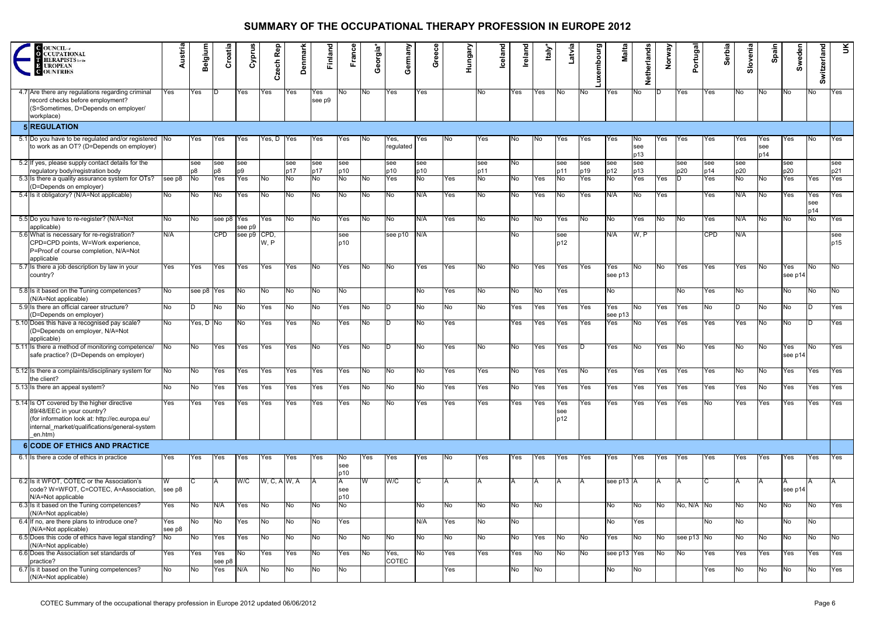| <b>C</b> OUNCIL of<br><b>CCUPATIONAL</b><br><b>HERAPISTS</b> for the<br><b>E UROPEAN</b><br><b>OUNTRIES</b>                                                                            | Austria             | Belgium    | Croatia       | Cyprus                | Rep<br>Czech | enmar<br>∩ | Finland       | France           | Georgia*       | Germany           | Greece     | Hungary   | Iceland    | Ireland | Italy | atvia             | phourg<br>ω<br>⋾ | Malta                     | Netherlands      | Orway<br>z | Portugal   | Serbia     | Slovenia   | Spain             | Sweden         | Switzerland          | $\leq$         |
|----------------------------------------------------------------------------------------------------------------------------------------------------------------------------------------|---------------------|------------|---------------|-----------------------|--------------|------------|---------------|------------------|----------------|-------------------|------------|-----------|------------|---------|-------|-------------------|------------------|---------------------------|------------------|------------|------------|------------|------------|-------------------|----------------|----------------------|----------------|
| 4.7 Are there any regulations regarding criminal<br>record checks before employment?<br>(S=Sometimes, D=Depends on employer/<br>workplace)                                             | Yes                 | Yes        |               | Yes                   | Yes          | Yes        | Yes<br>see p9 | INo.             | INo.           | Yes               | Yes        |           | No.        | Yes     | Yes   | No.               | INo I            | Yes                       | No.              |            | Yes        | Yes        | No.        | INo.              | No l           | No.                  | Yes            |
| 5 REGULATION                                                                                                                                                                           |                     |            |               |                       |              |            |               |                  |                |                   |            |           |            |         |       |                   |                  |                           |                  |            |            |            |            |                   |                |                      |                |
| 5.1 Do you have to be regulated and/or registered No<br>to work as an OT? (D=Depends on employer)                                                                                      |                     | Yes        | Yes           | lYes                  | Yes, D       | Yes        | Yes           | Yes              | INo.           | Yes,<br>regulated | Yes        | No.       | Yes        | No.     | No.   | Yes               | Yes              | Yes                       | No<br>see<br>p13 | Yes        | Yes        | Yes        | Yes        | Yes<br>see<br>p14 | Yes            | No.                  | Yes            |
| 5.2 If yes, please supply contact details for the<br>regulatory body/registration body                                                                                                 |                     | see<br>p8  | see<br>p8     | see<br>p <sub>9</sub> |              | see<br>p17 | see<br>p17    | see<br>p10       |                | see<br>p10        | see<br>p10 |           | see<br>p11 | No.     |       | see<br>p11        | see<br>p19       | see<br>p12                | see<br>p13       |            | see<br>p20 | see<br>p14 | see<br>p20 |                   | see<br>p20     |                      | see<br>p21     |
| 5.3 Is there a quality assurance system for OTs?<br>(D=Depends on employer)                                                                                                            | see p8              | No.        | Yes           | Yes                   | INo l        | No         | No            | No               | No.            | Yes               | No         | Yes       | No         | No      | Yes   | No                | Yes              | $\overline{N}$            | Yes              | Yes        |            | Yes        | No         | INo.              | Yes            | Yes                  | Yes            |
| 5.4 Is it obligatory? (N/A=Not applicable)                                                                                                                                             | No                  | No         | No            | Yes                   | No.          | No         | No            | No.              | No.            | No                | N/A        | Yes       | No         | No.     | Yes   | No                | <b>Yes</b>       | N/A                       | No               | Yes        |            | Yes        | N/A        | INo.              | Yes            | Yes<br>see<br>p14    | Yes            |
| 5.5 Do you have to re-register? (N/A=Not<br>applicable)                                                                                                                                | No                  | No         | see p8 Yes    | see p9                | Yes          | No.        | No.           | Yes              | No.            | INo.              | N/A        | Yes       | No.        | No.     | No    | Yes               | No               | No                        | Yes              | No         | INo.       | Yes        | N/A        | <b>INo</b>        | No             | No                   | Yes            |
| 5.6 What is necessary for re-registration?<br>CPD=CPD points, W=Work experience,<br>P=Proof of course completion, N/A=Not<br>applicable                                                | N/A                 |            | <b>CPD</b>    | see p9 CPD,           | W, P         |            |               | see<br>p10       |                | see p10           | N/A        |           |            | No.     |       | see<br>p12        |                  | N/A                       | W, P             |            |            | <b>CPD</b> | N/A.       |                   |                |                      | see<br>p15     |
| 5.7 Is there a job description by law in your<br>country?                                                                                                                              | Yes                 | Yes        | Yes           | Yes                   | Yes          | Yes        | INo.          | Yes              | INo.           | INo.              | Yes.       | Yes       | No.        | INo.    | Yes   | Yes               | <b>Yes</b>       | Yes<br>see p13            | INo l            | INo.       | <b>Yes</b> | Yes        | Yes        | INo.              | Yes<br>see p14 | No.                  | No.            |
| 5.8 Is it based on the Tuning competences?<br>(N/A=Not applicable)                                                                                                                     | No.                 | see p8 Yes |               | No.                   | No.          | No         | No            | No.              |                |                   | No         | Yes       | No         | No.     | No    | Yes               |                  | No                        |                  |            | No.        | Yes        | No.        |                   | No             | No.                  | No             |
| 5.9 Is there an official career structure?<br>(D=Depends on employer)                                                                                                                  | No                  |            | No.           | INo.                  | Yes          | No         | No.           | Yes              | INo.           |                   | No.        | No.       | No.        | Yes     | Yes   | Yes               | Yes              | Yes<br>see p13            | No               | Yes        | <b>Yes</b> | No         |            | INo.              | No             |                      | Yes            |
| 5.10 Does this have a recognised pay scale?<br>(D=Depends on employer, N/A=Not<br>applicable)                                                                                          | No                  | Yes, D No  |               | INo l                 | Yes          | Yes        | No            | Yes              | No.            |                   | No         | Yes       |            | Yes     | Yes   | Yes               | <b>Yes</b>       | $\overline{\mathsf{Yes}}$ | No               | Yes        | Yes        | Yes        | Yes        | No.               | No             |                      | Yes            |
| 5.11 Is there a method of monitoring competence/<br>safe practice? (D=Depends on employer)                                                                                             | No                  | No.        | Yes           | Yes                   | Yes          | Yes        | INo.          | Yes              | No.            |                   | No         | Yes       | No.        | No.     | Yes   | Yes               |                  | Yes                       | No               | Yes        | INo.       | Yes        | No         | INo.              | res<br>see p14 | No.                  | Yes            |
| 5.12 Is there a complaints/disciplinary system for<br>the client?                                                                                                                      | No                  | INo.       | Yes           | Yes                   | Yes          | Yes        | Yes           | Yes              | IN0.           | No                | NO.        | Yes       | Yes        | No.     | Yes   | Yes               | No               | <b>Yes</b>                | Yes              | Yes        | Yes        | Yes        | No         | INo.              | Yes            | Yes                  | Yes            |
| 5.13 Is there an appeal system?                                                                                                                                                        | No                  | Μo         | Yes           | Yes                   | Yes          | Yes        | Yes           | <b>Yes</b>       | N <sub>o</sub> | No.               | No         | Yes       | Yes        | No.     | Yes   | Yes               | Yes              | Yes                       | Yes              | Yes        | Yes        | Yes        | Yes        | No                | Yes            | Yes                  | Yes            |
| 5.14 Is OT covered by the higher directive<br>89/48/EEC in your country?<br>(for information look at: http://ec.europa.eu/<br>internal_market/qualifications/general-system<br>en.htm) | Yes                 | Yes        | Yes           | Yes                   | Yes          | Yes        | Yes           | Yes              | INo.           | No                | Yes        | Yes       | Yes        | Yes     | Yes   | Yes<br>see<br>p12 | Yes              | <b>Yes</b>                | Yes              | Yes        | Yes        | No         | Yes        | Yes               | Yes            | Yes                  | Yes            |
| <b>6 CODE OF ETHICS AND PRACTICE</b>                                                                                                                                                   |                     |            |               |                       |              |            |               |                  |                |                   |            |           |            |         |       |                   |                  |                           |                  |            |            |            |            |                   |                |                      |                |
| 6.1 Is there a code of ethics in practice                                                                                                                                              | Yes                 | Yes        | Yes           | Yes                   | Yes          | Yes        | Yes           | No<br>see<br>p10 | Yes            | Yes               | Yes        | No        | Yes        | Yes     | Yes   | Yes               | Yes              | Yes                       | Yes              | Yes        | Yes        | Yes        | Yes        | Yes               | Yes            | Yes                  | Yes            |
| 6.2 Is it WFOT, COTEC or the Association's<br>code? W=WFOT, C=COTEC, A=Association,<br>N/A=Not applicable                                                                              | see p8              |            |               | W/C                   | W, C, A W, A |            |               | A<br>see<br>p10  | W              | W/C               |            |           |            | A       |       |                   | ΙA               | see p13 A                 |                  |            |            |            |            | ΙA                | see p14        | IΑ                   | IA.            |
| 6.3 Is it based on the Tuning competences?<br>(N/A=Not applicable)                                                                                                                     | Yes                 | No.        | N/A           | Yes                   | <b>INo</b>   | INo l      | No            | No.              |                |                   | No         | No        | No         | No      | No.   |                   |                  | No.                       | INo.             | No.        | No, N/A No |            | No         | <b>No</b>         | No             | No.                  | Yes            |
| 6.4 If no, are there plans to introduce one?<br>(N/A=Not applicable)<br>6.5 Does this code of ethics have legal standing?                                                              | Yes<br>see p8<br>No | No<br>No   | No<br>Yes     | Yes<br>Yes            | No<br>No     | No<br>No   | No.<br>No     | Yes<br>No        | No             | No.               | N/A<br>No  | Yes<br>No | No<br>No   | No<br>Ю | Yes   | <b>No</b>         | No               | No<br>Yes                 | Yes<br>No        | No         | see p13 No | No         | No<br>No   | No                | No<br>No       | No<br>N <sub>o</sub> | N <sub>o</sub> |
| (N/A=Not applicable)<br>6.6 Does the Association set standards of                                                                                                                      |                     |            |               |                       |              |            |               |                  |                |                   |            |           |            |         |       |                   |                  |                           |                  |            | <b>INo</b> |            |            |                   |                |                      |                |
| practice?                                                                                                                                                                              | Yes                 | Yes        | Yes<br>see p8 | No                    | Yes          | Yes        | No            | Yes              | No.            | Yes,<br>COTEC     | No         | Yes       | Yes        | Yes     | No    | No                | No               | see p13 Yes               |                  | No         |            | Yes        | Yes        | Yes               | Yes            | Yes                  | Yes            |
| 6.7 Is it based on the Tuning competences?<br>(N/A=Not applicable)                                                                                                                     | No                  | No         | Yes           | N/A                   | No           | No         | No            | No               |                |                   |            | Yes       |            | No      | No    |                   |                  | No                        | No.              |            |            | Yes        | No         | No                | No             | No                   | Yes            |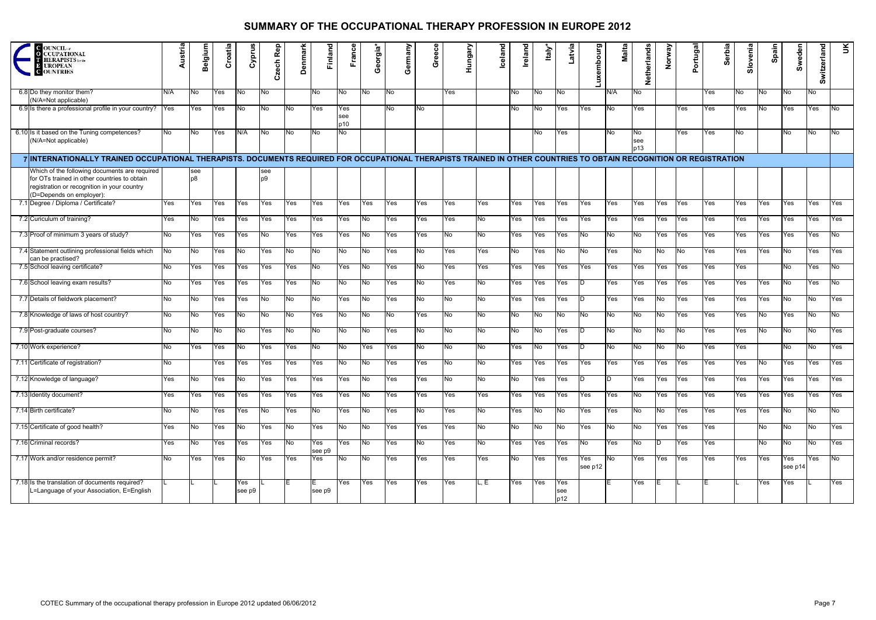| <b>C</b> OUNCIL of<br><b>CCUPATIONAL</b><br><b>HERAPISTS</b> for the<br>UROPEAN<br><b>C</b> OUNTRIES                                                                     | Austria | Belgium               | Croatia | Cyprus         | Rep<br>zech<br>Ω      | Denmark | Finland       | France            | Georgia*  | Germany | Greece | Hungary | <b>Iceland</b> | Ireland | Italy     | atvia             | embourg<br>×<br>∍ | Malta        | Netherlands      | Norway | <b>ortugal</b><br>௳ | Serbia | Slovenia | Spain | Sweden         | Switzerland | Ř              |
|--------------------------------------------------------------------------------------------------------------------------------------------------------------------------|---------|-----------------------|---------|----------------|-----------------------|---------|---------------|-------------------|-----------|---------|--------|---------|----------------|---------|-----------|-------------------|-------------------|--------------|------------------|--------|---------------------|--------|----------|-------|----------------|-------------|----------------|
| 6.8 Do they monitor them?<br>(N/A=Not applicable)                                                                                                                        | N/A     | No.                   | Yes     | No l           | No.                   |         | No            | No.               | No.       | INo .   |        | Yes     |                | No.     | No        | No                |                   | N/A          | No               |        |                     | Yes    | No.      | No.   | No.            | No          |                |
| 6.9 Is there a professional profile in your country?                                                                                                                     | Yes     | Yes                   | Yes     | INo .          | INo I                 | No.     | Yes           | Yes<br>see<br>p10 |           | No.     | No     |         |                | No.     | No        | Yes               | Yes               | No           | Yes              |        | Yes                 | Yes    | Yes      | No.   | Yes            | Yes         | INo.           |
| 6.10 Is it based on the Tuning competences?<br>(N/A=Not applicable)                                                                                                      | No l    | No.                   | Yes     | N/A            | No.                   | No.     | No.           | No                |           |         |        |         |                |         | No l      | Yes               |                   | No           | No<br>see<br>p13 |        | Yes                 | Yes    | No.      |       | No.            | No          | <b>No</b>      |
| 7 INTERNATIONALLY TRAINED OCCUPATIONAL THERAPISTS. DOCUMENTS REQUIRED FOR OCCUPATIONAL THERAPISTS TRAINED IN OTHER COUNTRIES TO OBTAIN RECOGNITION OR REGISTRATION       |         |                       |         |                |                       |         |               |                   |           |         |        |         |                |         |           |                   |                   |              |                  |        |                     |        |          |       |                |             |                |
| Which of the following documents are required<br>for OTs trained in other countries to obtain<br>registration or recognition in your country<br>(D=Depends on employer): |         | see<br>b <sub>0</sub> |         |                | see<br>p <sub>9</sub> |         |               |                   |           |         |        |         |                |         |           |                   |                   |              |                  |        |                     |        |          |       |                |             |                |
| 7.1 Degree / Diploma / Certificate?                                                                                                                                      | Yes     | Yes                   | Yes     | Yes            | Yes                   | Yes     | Yes           | Yes               | Yes       | Yes     | Yes    | Yes     | Yes            | Yes     | Yes       | Yes               | Yes               | Yes          | Yes              | Yes    | Yes                 | Yes    | Yes      | Yes   | Yes            | Yes         | Yes            |
| 7.2 Curiculum of training?                                                                                                                                               | Yes     | INo I                 | Yes     | Yes            | Yes                   | Yes     | Yes           | Yes               | No.       | Yes     | Yes    | Yes     | No             | Yes     | Yes       | Yes               | Yes               | Yes          | Yes              | Yes    | Yes                 | Yes    | Yes      | Yes   | Yes            | Yes         | Yes            |
| 7.3 Proof of minimum 3 years of study?                                                                                                                                   | No      | Yes                   | Yes     | Yes            | No.                   | Yes     | Yes           | Yes               | INo.      | Yes     | Yes    | No.     | INo I          | Yes     | Yes       | Yes               | No.               | No           | No               | Yes    | Yes                 | Yes    | Yes      | Yes   | Yes            | Yes         | No.            |
| 7.4 Statement outlining professional fields which<br>can be practised?                                                                                                   | No      | INo I                 | Yes     | INo.           | Yes                   | No.     | INo.          | INo.              | No.       | Yes     | No     | Yes     | Yes            | No.     | Yes       | INo I             | No.               | Yes          | No.              | INo I  | INo.                | Yes    | Yes      | Yes   | INo I          | Yes         | Yes            |
| 7.5 School leaving certificate?                                                                                                                                          | No      | Yes                   | Yes     | Yes            | Yes                   | Yes     | No            | Yes               | No.       | Yes     | No     | Yes     | Yes            | Yes     | Yes       | Yes               | Yes               | Yes          | Yes              | Yes    | Yes                 | Yes    | Yes      |       | No             | Yes         | INo l          |
| 7.6 School leaving exam results?                                                                                                                                         | No      | <b>Yes</b>            | Yes     | Yes            | Yes                   | Yes     | No            | No.               | No.       | Yes     | No     | Yes     | No             | Yes     | Yes       | Yes               |                   | Yes          | Yes              | Yes    | Yes                 | Yes    | Yes      | Yes   | No.            | Yes         | INo l          |
| 7.7 Details of fieldwork placement?                                                                                                                                      | No.     | No.                   | Yes     | Yes            | No.                   | INo.    | No l          | Yes               | INo.      | Yes     | No     | INo I   | No.            | Yes     | Yes       | Yes               |                   | Yes          | Yes              | No.    | Yes                 | Yes    | Yes      | Yes   | No             | No.         | Yes            |
| 7.8 Knowledge of laws of host country?                                                                                                                                   | No.     | INo.                  | Yes     | INo.           | INo.                  | lNo.    | Yes           | lNo.              | INo.      | No.     | Yes    | No      | No.            | No      | INo l     | INo.              | No.               | No           | No               | No.    | Yes                 | Yes    | Yes      | No    | Yes            | No.         | INo l          |
| 7.9 Post-graduate courses?                                                                                                                                               | No      | No.                   | No      | lNo.           | Yes                   | No.     | No.           | No.               | No        | Yes     | No     | No      | No             | No      | No.       | Yes               |                   | No           | No               | No.    | No                  | Yes    | Yes      | No    | No             | No          | Yes            |
| 7.10 Work experience?                                                                                                                                                    | No      | Yes                   | Yes     | No.            | Yes                   | Yes     | No            | No                | Yes       | Yes     | No     | No      | No             | Yes     | No        | Yes               |                   | No           | No               | No.    | No                  | Yes    | Yes      |       | No             | No          | Yes            |
| 7.11 Certificate of registration?                                                                                                                                        | No      |                       | Yes     | Yes            | Yes                   | Yes     | Yes           | No                | No        | Yes     | Yes    | No      | No.            | Yes     | Yes       | Yes               | Yes               | Yes          | Yes              | Yes    | Yes                 | Yes    | Yes      | No    | Yes            | Yes         | Yes            |
| 7.12 Knowledge of language?                                                                                                                                              | Yes     | No                    | Yes     | <b>No</b>      | Yes                   | Yes     | Yes           | Yes               | No        | Yes     | Yes    | No      | <b>No</b>      | No      | Yes       | Yes               |                   | <sub>D</sub> | Yes              | Yes    | Yes                 | Yes    | Yes      | Yes   | Yes            | Yes         | Yes            |
| 7.13 Identity document?                                                                                                                                                  | Yes     | Yes                   | Yes     | Yes            | Yes                   | Yes     | Yes           | Yes               | No        | Yes     | Yes    | Yes     | Yes            | Yes     | Yes       | Yes               | Yes               | Yes          | No               | Yes    | Yes                 | Yes    | Yes      | Yes   | Yes            | Yes         | Yes            |
| 7.14 Birth certificate?                                                                                                                                                  | No      | No                    | Yes     | Yes            | Mo                    | Yes     | No            | Yes               | No        | Yes     | No     | Yes     | No             | Yes     | <b>No</b> | No                | Yes               | Yes          | No               | No     | Yes                 | Yes    | Yes      | Yes   | <b>No</b>      | No          | $\overline{N}$ |
| 7.15 Certificate of good health?                                                                                                                                         | Yes     | No                    | Yes     | N <sub>o</sub> | Yes                   | No      | Yes           | N <sub>o</sub>    | <b>No</b> | Yes     | Yes    | Yes     | No             | No      | No        | No                | Yes               | No.          | No               | Yes    | Yes                 | Yes    |          | No    | No             | No          | Yes            |
| 7.16 Criminal records?                                                                                                                                                   | Yes     | No                    | Yes     | Yes            | Yes                   | No      | Yes<br>see p9 | Yes               | <b>No</b> | Yes     | No     | Yes     | No             | Yes     | Yes       | Yes               | No                | Yes          | No               |        | Yes                 | Yes    |          | No    | No             | No          | Yes            |
| 7.17 Work and/or residence permit?                                                                                                                                       | No      | Yes                   | Yes     | INo.           | Yes                   | Yes     | Yes           | N <sub>o</sub>    | No        | Yes     | Yes    | Yes     | Yes            | No      | Yes       | Yes               | Yes<br>see p12    | No.          | Yes              | Yes    | Yes                 | Yes    | Yes      | Yes   | Yes<br>see p14 | Yes         | No             |
| 7.18 Is the translation of documents required?<br>L=Language of your Association, E=English                                                                              |         |                       |         | Yes<br>see p9  |                       |         | see p9        | Yes               | Yes       | Yes     | Yes    | Yes     | L. E           | Yes     | Yes       | Yes<br>see<br>p12 |                   |              | Yes              |        |                     |        |          | Yes   | Yes            |             | Yes            |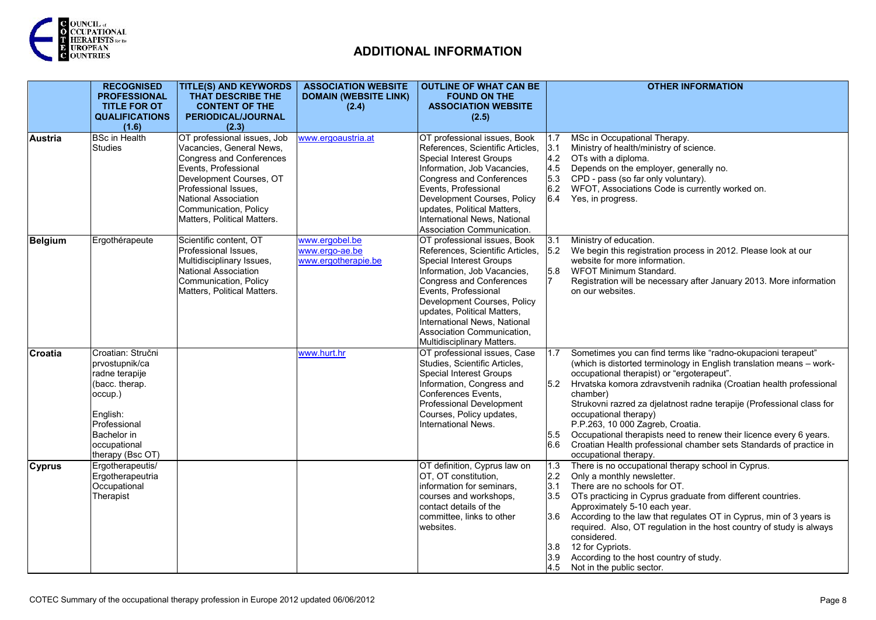

|               | <b>RECOGNISED</b><br><b>PROFESSIONAL</b><br><b>TITLE FOR OT</b>                                                                                                   | <b>TITLE(S) AND KEYWORDS</b><br>THAT DESCRIBE THE<br><b>CONTENT OF THE</b>                                                                                                                                                                            | <b>ASSOCIATION WEBSITE</b><br><b>DOMAIN (WEBSITE LINK)</b><br>(2.4) | <b>OUTLINE OF WHAT CAN BE</b><br><b>FOUND ON THE</b><br><b>ASSOCIATION WEBSITE</b>                                                                                                                                                                                                                                                                     | <b>OTHER INFORMATION</b>                                                                                                                                                                                                                                                                                                                                                                                                                                                                                                                                                                                     |
|---------------|-------------------------------------------------------------------------------------------------------------------------------------------------------------------|-------------------------------------------------------------------------------------------------------------------------------------------------------------------------------------------------------------------------------------------------------|---------------------------------------------------------------------|--------------------------------------------------------------------------------------------------------------------------------------------------------------------------------------------------------------------------------------------------------------------------------------------------------------------------------------------------------|--------------------------------------------------------------------------------------------------------------------------------------------------------------------------------------------------------------------------------------------------------------------------------------------------------------------------------------------------------------------------------------------------------------------------------------------------------------------------------------------------------------------------------------------------------------------------------------------------------------|
|               | <b>QUALIFICATIONS</b><br>(1.6)                                                                                                                                    | PERIODICAL/JOURNAL<br>(2.3)                                                                                                                                                                                                                           |                                                                     | (2.5)                                                                                                                                                                                                                                                                                                                                                  |                                                                                                                                                                                                                                                                                                                                                                                                                                                                                                                                                                                                              |
| Austria       | <b>BSc in Health</b><br><b>Studies</b>                                                                                                                            | OT professional issues, Job<br>Vacancies, General News,<br><b>Congress and Conferences</b><br>Events, Professional<br>Development Courses, OT<br>Professional Issues,<br>National Association<br>Communication, Policy<br>Matters, Political Matters. | www.ergoaustria.at                                                  | OT professional issues, Book<br>References, Scientific Articles,<br><b>Special Interest Groups</b><br>Information, Job Vacancies,<br>Congress and Conferences<br>Events, Professional<br>Development Courses, Policy<br>updates, Political Matters,<br>International News, National<br>Association Communication.                                      | MSc in Occupational Therapy.<br>1.7<br>3.1<br>Ministry of health/ministry of science.<br>4.2 OTs with a diploma.<br>Depends on the employer, generally no.<br>4.5<br>5.3 CPD - pass (so far only voluntary).<br>6.2 WFOT, Associations Code is currently worked on.<br>6.4 Yes, in progress.                                                                                                                                                                                                                                                                                                                 |
| Belgium       | Ergothérapeute                                                                                                                                                    | Scientific content, OT<br>Professional Issues,<br>Multidisciplinary Issues,<br>National Association<br>Communication, Policy<br>Matters, Political Matters.                                                                                           | www.ergobel.be<br>www.ergo-ae.be<br>www.ergotherapie.be             | OT professional issues, Book<br>References, Scientific Articles,<br><b>Special Interest Groups</b><br>Information, Job Vacancies,<br><b>Congress and Conferences</b><br>Events, Professional<br>Development Courses, Policy<br>updates, Political Matters,<br>International News, National<br>Association Communication,<br>Multidisciplinary Matters. | Ministry of education.<br>3.1<br>5.2 We begin this registration process in 2012. Please look at our<br>website for more information.<br>5.8<br>WFOT Minimum Standard.<br>17<br>Registration will be necessary after January 2013. More information<br>on our websites.                                                                                                                                                                                                                                                                                                                                       |
| Croatia       | Croatian: Stručni<br>prvostupnik/ca<br>radne terapije<br>(bacc. therap.<br>occup.)<br>English:<br>Professional<br>Bachelor in<br>occupational<br>therapy (Bsc OT) |                                                                                                                                                                                                                                                       | www.hurt.hr                                                         | OT professional issues, Case<br>Studies, Scientific Articles,<br><b>Special Interest Groups</b><br>Information, Congress and<br>Conferences Events,<br>Professional Development<br>Courses, Policy updates,<br>International News.                                                                                                                     | Sometimes you can find terms like "radno-okupacioni terapeut"<br>1.7<br>(which is distorted terminology in English translation means - work-<br>occupational therapist) or "ergoterapeut".<br>Hrvatska komora zdravstvenih radnika (Croatian health professional<br>5.2<br>chamber)<br>Strukovni razred za djelatnost radne terapije (Professional class for<br>occupational therapy)<br>P.P.263, 10 000 Zagreb, Croatia.<br>Occupational therapists need to renew their licence every 6 years.<br>5.5<br>Croatian Health professional chamber sets Standards of practice in<br>6.6<br>occupational therapy. |
| <b>Cyprus</b> | Ergotherapeutis/<br>Ergotherapeutria<br>Occupational<br>Therapist                                                                                                 |                                                                                                                                                                                                                                                       |                                                                     | OT definition, Cyprus law on<br>OT, OT constitution,<br>information for seminars,<br>courses and workshops,<br>contact details of the<br>committee, links to other<br>websites.                                                                                                                                                                        | There is no occupational therapy school in Cyprus.<br>$\overline{1.3}$<br>Only a monthly newsletter.<br>2.2<br>There are no schools for OT.<br>3.1<br>OTs practicing in Cyprus graduate from different countries.<br>3.5<br>Approximately 5-10 each year.<br>According to the law that regulates OT in Cyprus, min of 3 years is<br>3.6<br>required. Also, OT regulation in the host country of study is always<br>considered.<br>12 for Cypriots.<br>3.8<br>According to the host country of study.<br>3.9<br>4.5 Not in the public sector.                                                                 |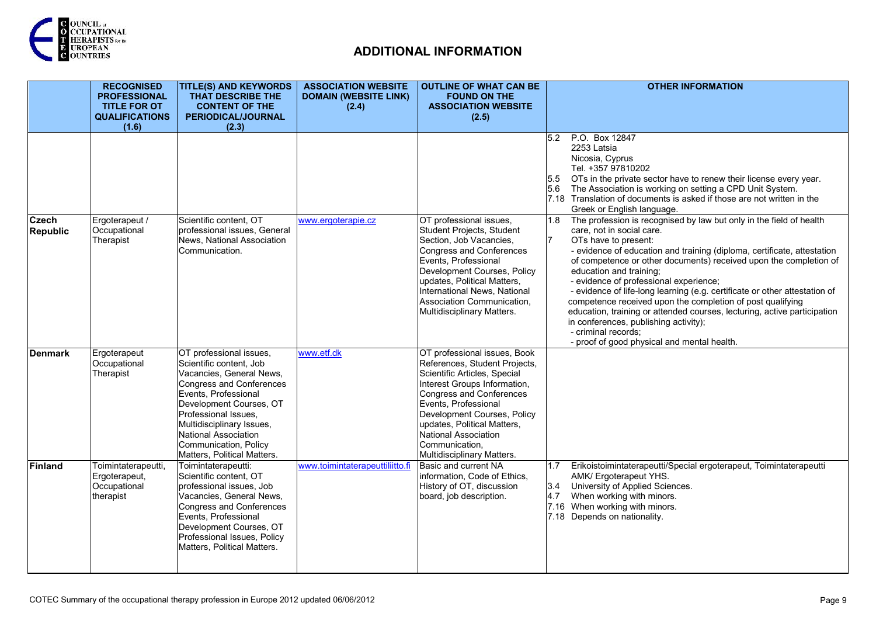

|                                 | <b>RECOGNISED</b><br><b>PROFESSIONAL</b><br><b>TITLE FOR OT</b><br><b>QUALIFICATIONS</b> | <b>TITLE(S) AND KEYWORDS</b><br>THAT DESCRIBE THE<br><b>CONTENT OF THE</b><br>PERIODICAL/JOURNAL                                                                                                                                                                                                   | <b>ASSOCIATION WEBSITE</b><br><b>DOMAIN (WEBSITE LINK)</b><br>(2.4) | <b>OUTLINE OF WHAT CAN BE</b><br><b>FOUND ON THE</b><br><b>ASSOCIATION WEBSITE</b><br>(2.5)                                                                                                                                                                                                                                    | <b>OTHER INFORMATION</b>                                                                                                                                                                                                                                                                                                                                                                                                                                                                                                                                                                                                                                                                    |
|---------------------------------|------------------------------------------------------------------------------------------|----------------------------------------------------------------------------------------------------------------------------------------------------------------------------------------------------------------------------------------------------------------------------------------------------|---------------------------------------------------------------------|--------------------------------------------------------------------------------------------------------------------------------------------------------------------------------------------------------------------------------------------------------------------------------------------------------------------------------|---------------------------------------------------------------------------------------------------------------------------------------------------------------------------------------------------------------------------------------------------------------------------------------------------------------------------------------------------------------------------------------------------------------------------------------------------------------------------------------------------------------------------------------------------------------------------------------------------------------------------------------------------------------------------------------------|
|                                 | (1.6)                                                                                    | (2.3)                                                                                                                                                                                                                                                                                              |                                                                     |                                                                                                                                                                                                                                                                                                                                | P.O. Box 12847<br>5.2<br>2253 Latsia<br>Nicosia, Cyprus<br>Tel. +357 97810202<br>5.5<br>OTs in the private sector have to renew their license every year.<br>5.6 The Association is working on setting a CPD Unit System.<br>7.18 Translation of documents is asked if those are not written in the<br>Greek or English language.                                                                                                                                                                                                                                                                                                                                                           |
| <b>Czech</b><br><b>Republic</b> | Ergoterapeut /<br>Occupational<br>Therapist                                              | Scientific content, OT<br>professional issues, General<br>News, National Association<br>Communication.                                                                                                                                                                                             | www.ergoterapie.cz                                                  | OT professional issues,<br>Student Projects, Student<br>Section, Job Vacancies,<br>Congress and Conferences<br>Events, Professional<br>Development Courses, Policy<br>updates, Political Matters,<br>International News, National<br>Association Communication,<br>Multidisciplinary Matters.                                  | The profession is recognised by law but only in the field of health<br>1.8<br>care, not in social care.<br>OTs have to present:<br>- evidence of education and training (diploma, certificate, attestation<br>of competence or other documents) received upon the completion of<br>education and training;<br>- evidence of professional experience;<br>- evidence of life-long learning (e.g. certificate or other attestation of<br>competence received upon the completion of post qualifying<br>education, training or attended courses, lecturing, active participation<br>in conferences, publishing activity);<br>- criminal records;<br>- proof of good physical and mental health. |
| Denmark                         | Ergoterapeut<br>Occupational<br>Therapist                                                | OT professional issues,<br>Scientific content, Job<br>Vacancies, General News,<br>Congress and Conferences<br>Events, Professional<br>Development Courses, OT<br>Professional Issues,<br>Multidisciplinary Issues,<br>National Association<br>Communication, Policy<br>Matters, Political Matters. | www.etf.dk                                                          | OT professional issues, Book<br>References, Student Projects,<br>Scientific Articles, Special<br>Interest Groups Information,<br>Congress and Conferences<br>Events, Professional<br>Development Courses, Policy<br>updates, Political Matters,<br><b>National Association</b><br>Communication,<br>Multidisciplinary Matters. |                                                                                                                                                                                                                                                                                                                                                                                                                                                                                                                                                                                                                                                                                             |
| <b>Finland</b>                  | Toimintaterapeutti,<br>Ergoterapeut,<br>Occupational<br>therapist                        | Toimintaterapeutti:<br>Scientific content, OT<br>professional issues, Job<br>Vacancies, General News,<br><b>Congress and Conferences</b><br>Events, Professional<br>Development Courses, OT<br>Professional Issues, Policy<br>Matters, Political Matters.                                          | www.toimintaterapeuttiliitto.fi                                     | Basic and current NA<br>information, Code of Ethics,<br>History of OT, discussion<br>board, job description.                                                                                                                                                                                                                   | Erikoistoimintaterapeutti/Special ergoterapeut, Toimintaterapeutti<br>1.7<br>AMK/ Ergoterapeut YHS.<br>3.4 University of Applied Sciences.<br>When working with minors.<br>4.7<br>7.16 When working with minors.<br>7.18 Depends on nationality.                                                                                                                                                                                                                                                                                                                                                                                                                                            |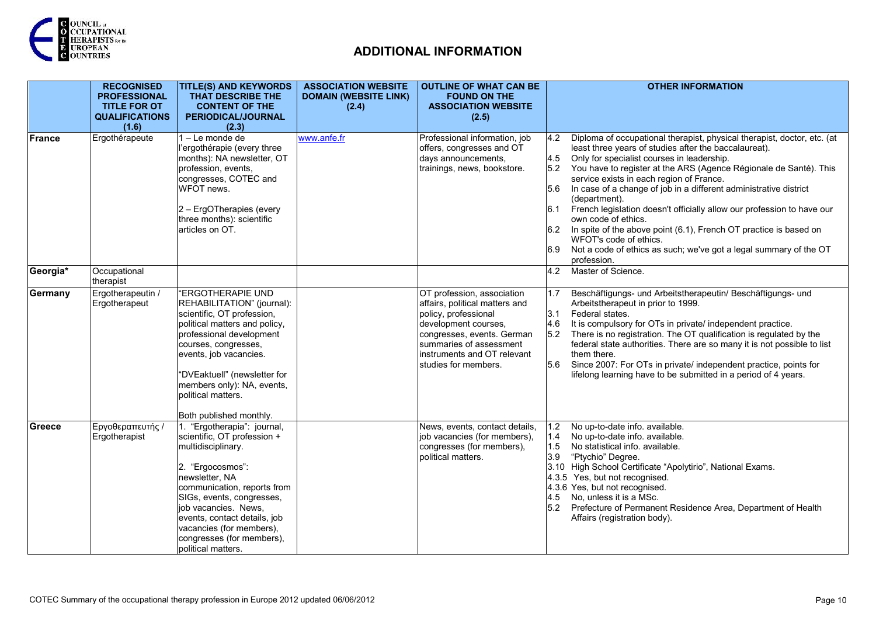

|               | <b>RECOGNISED</b><br><b>PROFESSIONAL</b><br><b>TITLE FOR OT</b><br><b>QUALIFICATIONS</b><br>(1.6) | <b>TITLE(S) AND KEYWORDS</b><br>THAT DESCRIBE THE<br><b>CONTENT OF THE</b><br><b>PERIODICAL/JOURNAL</b><br>(2.3)                                                                                                                                                                                                          | <b>ASSOCIATION WEBSITE</b><br><b>DOMAIN (WEBSITE LINK)</b><br>(2.4) | <b>OUTLINE OF WHAT CAN BE</b><br><b>FOUND ON THE</b><br><b>ASSOCIATION WEBSITE</b><br>(2.5)                                                                                                                                   | <b>OTHER INFORMATION</b>                                                                                                                                                                                                                                                                                                                                                                                                                                                                                                                                                                                                                                                                                                   |
|---------------|---------------------------------------------------------------------------------------------------|---------------------------------------------------------------------------------------------------------------------------------------------------------------------------------------------------------------------------------------------------------------------------------------------------------------------------|---------------------------------------------------------------------|-------------------------------------------------------------------------------------------------------------------------------------------------------------------------------------------------------------------------------|----------------------------------------------------------------------------------------------------------------------------------------------------------------------------------------------------------------------------------------------------------------------------------------------------------------------------------------------------------------------------------------------------------------------------------------------------------------------------------------------------------------------------------------------------------------------------------------------------------------------------------------------------------------------------------------------------------------------------|
| <b>France</b> | Ergothérapeute                                                                                    | 1-Le monde de<br>'ergothérapie (every three<br>months): NA newsletter, OT<br>profession, events,<br>congresses, COTEC and<br>WFOT news.<br>2 – ErgOTherapies (every<br>three months): scientific<br>articles on OT.                                                                                                       | www.anfe.fr                                                         | Professional information, job<br>offers, congresses and OT<br>days announcements,<br>trainings, news, bookstore.                                                                                                              | Diploma of occupational therapist, physical therapist, doctor, etc. (at<br>4.2<br>least three years of studies after the baccalaureat).<br>Only for specialist courses in leadership.<br>4.5<br>You have to register at the ARS (Agence Régionale de Santé). This<br>5.2<br>service exists in each region of France.<br>In case of a change of job in a different administrative district<br>5.6<br>(department).<br>French legislation doesn't officially allow our profession to have our<br>6.1<br>own code of ethics.<br>In spite of the above point (6.1), French OT practice is based on<br>6.2<br>WFOT's code of ethics.<br>Not a code of ethics as such; we've got a legal summary of the OT<br>6.9<br>profession. |
| Georgia*      | Occupational<br>therapist                                                                         |                                                                                                                                                                                                                                                                                                                           |                                                                     |                                                                                                                                                                                                                               | Master of Science.<br>4.2                                                                                                                                                                                                                                                                                                                                                                                                                                                                                                                                                                                                                                                                                                  |
| Germany       | Ergotherapeutin /<br>Ergotherapeut                                                                | "ERGOTHERAPIE UND<br>REHABILITATION" (journal):<br>scientific, OT profession,<br>political matters and policy,<br>professional development<br>courses, congresses,<br>events, job vacancies.<br>"DVEaktuell" (newsletter for<br>members only): NA, events,<br>political matters.<br>Both published monthly.               |                                                                     | OT profession, association<br>affairs, political matters and<br>policy, professional<br>development courses,<br>congresses, events. German<br>summaries of assessment<br>linstruments and OT relevant<br>studies for members. | Beschäftigungs- und Arbeitstherapeutin/ Beschäftigungs- und<br>1.7<br>Arbeitstherapeut in prior to 1999.<br>3.1<br>Federal states.<br>It is compulsory for OTs in private/ independent practice.<br>4.6<br>There is no registration. The OT qualification is regulated by the<br>5.2<br>federal state authorities. There are so many it is not possible to list<br>them there.<br>5.6<br>Since 2007: For OTs in private/ independent practice, points for<br>lifelong learning have to be submitted in a period of 4 years.                                                                                                                                                                                                |
| Greece        | Εργοθεραπευτής /<br>Ergotherapist                                                                 | 1. "Ergotherapia": journal,<br>scientific, OT profession +<br>multidisciplinary.<br>2. "Ergocosmos":<br>newsletter, NA<br>communication, reports from<br>SIGs, events, congresses,<br>job vacancies. News,<br>events, contact details, job<br>vacancies (for members),<br>congresses (for members),<br>political matters. |                                                                     | News, events, contact details,<br>job vacancies (for members),<br>congresses (for members),<br>political matters.                                                                                                             | No up-to-date info. available.<br>1.2<br>1.4<br>No up-to-date info. available.<br>1.5<br>No statistical info. available.<br>3.9<br>"Ptychio" Degree.<br>3.10 High School Certificate "Apolytirio", National Exams.<br>4.3.5 Yes, but not recognised.<br>4.3.6 Yes, but not recognised.<br>4.5 No, unless it is a MSc.<br>5.2 Prefecture of Permanent Residence Area, Department of Health<br>Affairs (registration body).                                                                                                                                                                                                                                                                                                  |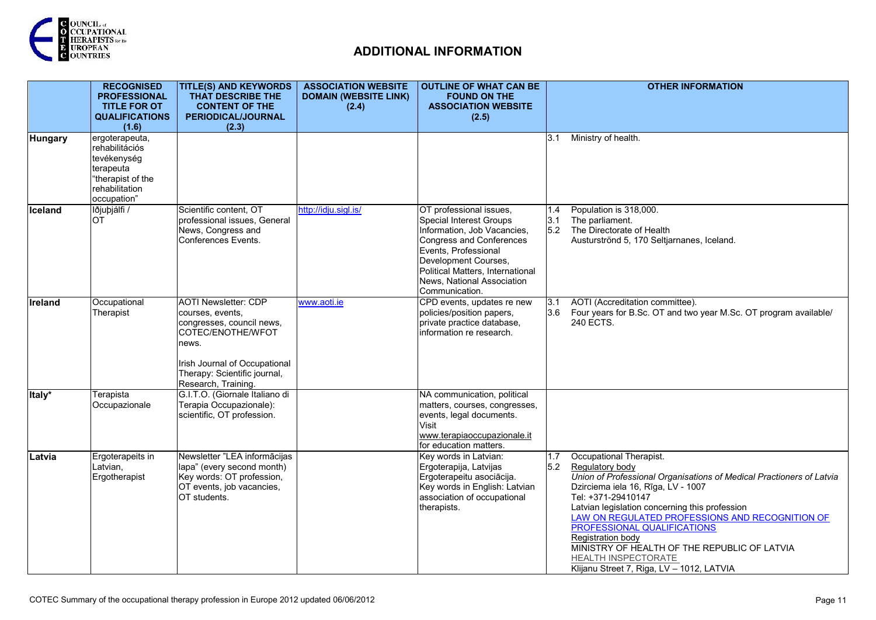

|                | <b>RECOGNISED</b><br><b>PROFESSIONAL</b><br><b>TITLE FOR OT</b><br><b>QUALIFICATIONS</b><br>(1.6)                  | <b>TITLE(S) AND KEYWORDS</b><br>THAT DESCRIBE THE<br><b>CONTENT OF THE</b><br><b>PERIODICAL/JOURNAL</b><br>(2.3)                                                                                   | <b>ASSOCIATION WEBSITE</b><br><b>DOMAIN (WEBSITE LINK)</b><br>(2.4) | <b>OUTLINE OF WHAT CAN BE</b><br><b>FOUND ON THE</b><br><b>ASSOCIATION WEBSITE</b><br>(2.5)                                                                                                                                                       |                    | <b>OTHER INFORMATION</b>                                                                                                                                                                                                                                                                                                                                                                                                                                    |
|----------------|--------------------------------------------------------------------------------------------------------------------|----------------------------------------------------------------------------------------------------------------------------------------------------------------------------------------------------|---------------------------------------------------------------------|---------------------------------------------------------------------------------------------------------------------------------------------------------------------------------------------------------------------------------------------------|--------------------|-------------------------------------------------------------------------------------------------------------------------------------------------------------------------------------------------------------------------------------------------------------------------------------------------------------------------------------------------------------------------------------------------------------------------------------------------------------|
| <b>Hungary</b> | ergoterapeuta,<br>rehabilitációs<br>tevékenység<br>terapeuta<br>"therapist of the<br>rehabilitation<br>occupation" |                                                                                                                                                                                                    |                                                                     |                                                                                                                                                                                                                                                   | 3.1                | Ministry of health.                                                                                                                                                                                                                                                                                                                                                                                                                                         |
| Iceland        | lðjuþjálfi /<br><b>OT</b>                                                                                          | Scientific content, OT<br>professional issues, General<br>News, Congress and<br>Conferences Events.                                                                                                | http://idju.sigl.is/                                                | OT professional issues,<br>Special Interest Groups<br>Information, Job Vacancies,<br>Congress and Conferences<br>Events, Professional<br>Development Courses,<br>Political Matters, International<br>News, National Association<br>Communication. | 1.4<br>l3.1<br>5.2 | Population is 318,000.<br>The parliament.<br>The Directorate of Health<br>Austurströnd 5, 170 Seltjarnanes, Iceland.                                                                                                                                                                                                                                                                                                                                        |
| <b>Ireland</b> | Occupational<br>Therapist                                                                                          | <b>AOTI Newsletter: CDP</b><br>courses, events,<br>congresses, council news,<br>COTEC/ENOTHE/WFOT<br>news.<br>Irish Journal of Occupational<br>Therapy: Scientific journal,<br>Research, Training. | www.aoti.ie                                                         | CPD events, updates re new<br>policies/position papers,<br>private practice database,<br>information re research.                                                                                                                                 | 3.1<br>3.6         | AOTI (Accreditation committee).<br>Four years for B.Sc. OT and two year M.Sc. OT program available/<br>240 ECTS.                                                                                                                                                                                                                                                                                                                                            |
| Italy*         | Terapista<br>Occupazionale                                                                                         | G.I.T.O. (Giornale Italiano di<br>Terapia Occupazionale):<br>scientific, OT profession.                                                                                                            |                                                                     | NA communication, political<br>matters, courses, congresses,<br>events, legal documents.<br>Visit<br>www.terapiaoccupazionale.it<br>for education matters.                                                                                        |                    |                                                                                                                                                                                                                                                                                                                                                                                                                                                             |
| Latvia         | Ergoterapeits in<br>Latvian,<br>Ergotherapist                                                                      | Newsletter "LEA informācijas<br>lapa" (every second month)<br>Key words: OT profession,<br>OT events, job vacancies,<br>OT students.                                                               |                                                                     | Key words in Latvian:<br>Ergoterapija, Latvijas<br>Ergoterapeitu asociācija.<br>Key words in English: Latvian<br>association of occupational<br>therapists.                                                                                       | 1.7<br>5.2         | Occupational Therapist.<br>Regulatory body<br>Union of Professional Organisations of Medical Practioners of Latvia<br>Dzirciema iela 16, Rīga, LV - 1007<br>Tel: +371-29410147<br>Latvian legislation concerning this profession<br>LAW ON REGULATED PROFESSIONS AND RECOGNITION OF<br>PROFESSIONAL QUALIFICATIONS<br>Registration body<br>MINISTRY OF HEALTH OF THE REPUBLIC OF LATVIA<br>HEALTH INSPECTORATE<br>Klijanu Street 7, Riga, LV - 1012, LATVIA |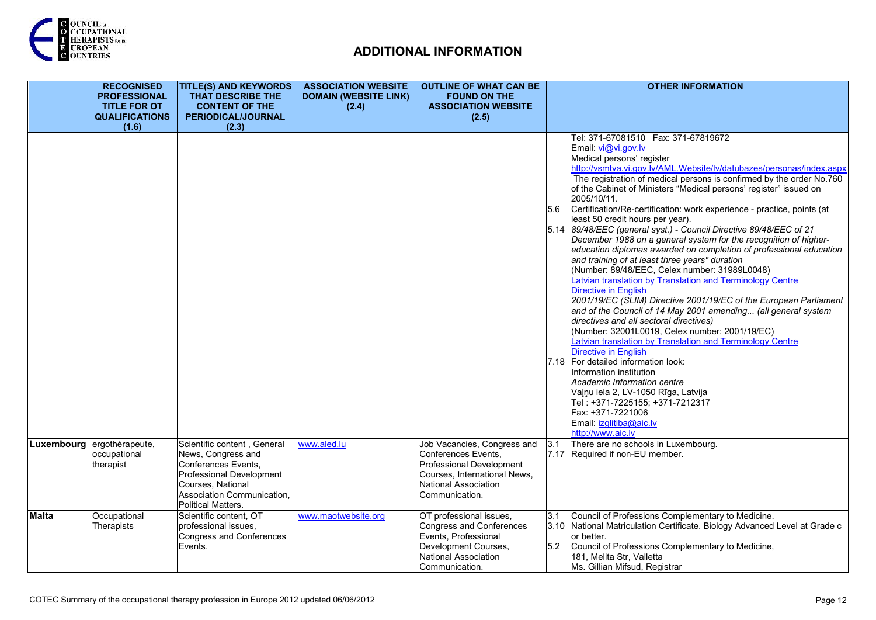

|              | <b>RECOGNISED</b><br><b>PROFESSIONAL</b><br><b>TITLE FOR OT</b><br><b>QUALIFICATIONS</b><br>(1.6) | <b>TITLE(S) AND KEYWORDS</b><br>THAT DESCRIBE THE<br><b>CONTENT OF THE</b><br>PERIODICAL/JOURNAL<br>(2.3)                                                                     | <b>ASSOCIATION WEBSITE</b><br><b>DOMAIN (WEBSITE LINK)</b><br>(2.4) | <b>OUTLINE OF WHAT CAN BE</b><br><b>FOUND ON THE</b><br><b>ASSOCIATION WEBSITE</b><br>(2.5)                                                                     | <b>OTHER INFORMATION</b>                                                                                                                                                                                                                                                                                                                                                                                                                                                                                                                                                                                                                                                                                                                                                                                                                                                                                                                                                                                                                                                                                                                                                                                                                                                                                                                                                                                                               |
|--------------|---------------------------------------------------------------------------------------------------|-------------------------------------------------------------------------------------------------------------------------------------------------------------------------------|---------------------------------------------------------------------|-----------------------------------------------------------------------------------------------------------------------------------------------------------------|----------------------------------------------------------------------------------------------------------------------------------------------------------------------------------------------------------------------------------------------------------------------------------------------------------------------------------------------------------------------------------------------------------------------------------------------------------------------------------------------------------------------------------------------------------------------------------------------------------------------------------------------------------------------------------------------------------------------------------------------------------------------------------------------------------------------------------------------------------------------------------------------------------------------------------------------------------------------------------------------------------------------------------------------------------------------------------------------------------------------------------------------------------------------------------------------------------------------------------------------------------------------------------------------------------------------------------------------------------------------------------------------------------------------------------------|
|              |                                                                                                   |                                                                                                                                                                               |                                                                     |                                                                                                                                                                 | Tel: 371-67081510  Fax: 371-67819672<br>Email: vi@vi.gov.lv<br>Medical persons' register<br>http://vsmtva.vi.gov.lv/AML.Website/lv/datubazes/personas/index.aspx<br>The registration of medical persons is confirmed by the order No.760<br>of the Cabinet of Ministers "Medical persons' register" issued on<br>2005/10/11.<br>5.6 Certification/Re-certification: work experience - practice, points (at<br>least 50 credit hours per year).<br>5.14 89/48/EEC (general syst.) - Council Directive 89/48/EEC of 21<br>December 1988 on a general system for the recognition of higher-<br>education diplomas awarded on completion of professional education<br>and training of at least three years" duration<br>(Number: 89/48/EEC, Celex number: 31989L0048)<br>Latvian translation by Translation and Terminology Centre<br><b>Directive in English</b><br>2001/19/EC (SLIM) Directive 2001/19/EC of the European Parliament<br>and of the Council of 14 May 2001 amending (all general system<br>directives and all sectoral directives)<br>(Number: 32001L0019, Celex number: 2001/19/EC)<br>Latvian translation by Translation and Terminology Centre<br>Directive in English<br>7.18 For detailed information look:<br>Information institution<br>Academic Information centre<br>Valnu iela 2, LV-1050 Rīga, Latvija<br>Tel: +371-7225155; +371-7212317<br>Fax: +371-7221006<br>Email: izglitiba@aic.lv<br>http://www.aic.lv |
|              | Luxembourg ergothérapeute,<br>occupational<br>therapist                                           | Scientific content, General<br>News, Congress and<br>Conferences Events,<br>Professional Development<br>Courses, National<br>Association Communication,<br>Political Matters. | www.aled.lu                                                         | Job Vacancies, Congress and<br>Conferences Events,<br>Professional Development<br>Courses, International News,<br><b>National Association</b><br>Communication. | There are no schools in Luxembourg.<br>3.1<br>7.17 Required if non-EU member.                                                                                                                                                                                                                                                                                                                                                                                                                                                                                                                                                                                                                                                                                                                                                                                                                                                                                                                                                                                                                                                                                                                                                                                                                                                                                                                                                          |
| <b>Malta</b> | Occupational<br>Therapists                                                                        | Scientific content, OT<br>professional issues,<br>Congress and Conferences<br>Events.                                                                                         | www.maotwebsite.org                                                 | OT professional issues,<br>Congress and Conferences<br>Events, Professional<br>Development Courses,<br>National Association<br>Communication.                   | Council of Professions Complementary to Medicine.<br>3.1<br>3.10 National Matriculation Certificate. Biology Advanced Level at Grade c<br>or better.<br>5.2 Council of Professions Complementary to Medicine,<br>181, Melita Str, Valletta<br>Ms. Gillian Mifsud, Registrar                                                                                                                                                                                                                                                                                                                                                                                                                                                                                                                                                                                                                                                                                                                                                                                                                                                                                                                                                                                                                                                                                                                                                            |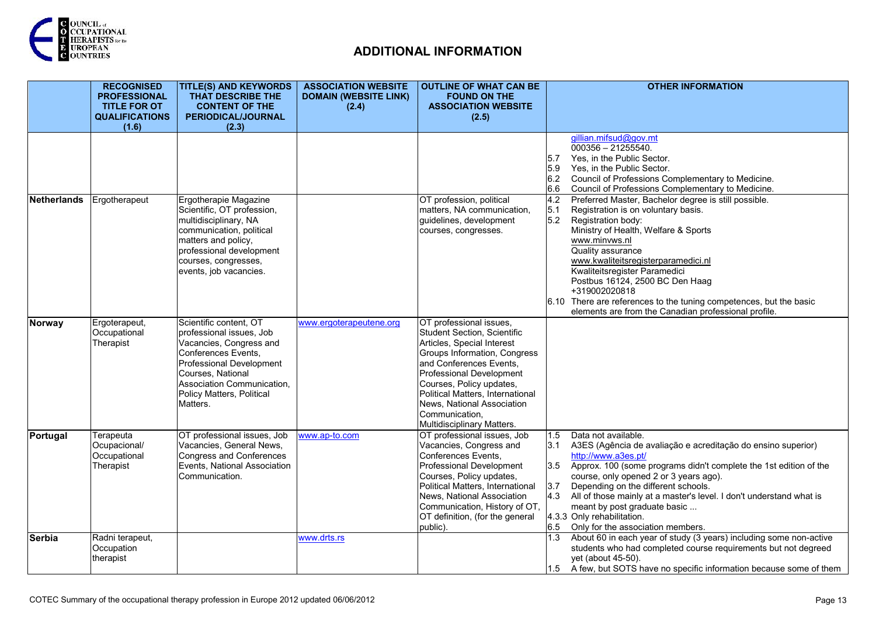

|                    | <b>RECOGNISED</b>                          | <b>TITLE(S) AND KEYWORDS</b>                                    | <b>ASSOCIATION WEBSITE</b>   | <b>OUTLINE OF WHAT CAN BE</b>                     | <b>OTHER INFORMATION</b>                                                                        |
|--------------------|--------------------------------------------|-----------------------------------------------------------------|------------------------------|---------------------------------------------------|-------------------------------------------------------------------------------------------------|
|                    | <b>PROFESSIONAL</b><br><b>TITLE FOR OT</b> | THAT DESCRIBE THE<br><b>CONTENT OF THE</b>                      | <b>DOMAIN (WEBSITE LINK)</b> | <b>FOUND ON THE</b><br><b>ASSOCIATION WEBSITE</b> |                                                                                                 |
|                    | <b>QUALIFICATIONS</b>                      | PERIODICAL/JOURNAL                                              | (2.4)                        | (2.5)                                             |                                                                                                 |
|                    | (1.6)                                      | (2.3)                                                           |                              |                                                   |                                                                                                 |
|                    |                                            |                                                                 |                              |                                                   | gillian.mifsud@gov.mt                                                                           |
|                    |                                            |                                                                 |                              |                                                   | $000356 - 21255540.$                                                                            |
|                    |                                            |                                                                 |                              |                                                   | 5.7<br>Yes, in the Public Sector.                                                               |
|                    |                                            |                                                                 |                              |                                                   | 5.9<br>Yes, in the Public Sector.                                                               |
|                    |                                            |                                                                 |                              |                                                   | 6.2 Council of Professions Complementary to Medicine.                                           |
|                    |                                            |                                                                 |                              |                                                   | 6.6<br>Council of Professions Complementary to Medicine.                                        |
| <b>Netherlands</b> | Ergotherapeut                              | Ergotherapie Magazine                                           |                              | OT profession, political                          | Preferred Master, Bachelor degree is still possible.<br>4.2                                     |
|                    |                                            | Scientific, OT profession,                                      |                              | matters, NA communication,                        | Registration is on voluntary basis.<br>5.1                                                      |
|                    |                                            | multidisciplinary, NA                                           |                              | guidelines, development                           | 5.2<br>Registration body:                                                                       |
|                    |                                            | communication, political                                        |                              | courses, congresses.                              | Ministry of Health, Welfare & Sports                                                            |
|                    |                                            | matters and policy,                                             |                              |                                                   | www.minvws.nl                                                                                   |
|                    |                                            | professional development                                        |                              |                                                   | Quality assurance                                                                               |
|                    |                                            | courses, congresses,<br>events, job vacancies.                  |                              |                                                   | www.kwaliteitsregisterparamedici.nl<br>Kwaliteitsregister Paramedici                            |
|                    |                                            |                                                                 |                              |                                                   | Postbus 16124, 2500 BC Den Haag                                                                 |
|                    |                                            |                                                                 |                              |                                                   | +319002020818                                                                                   |
|                    |                                            |                                                                 |                              |                                                   | 6.10 There are references to the tuning competences, but the basic                              |
|                    |                                            |                                                                 |                              |                                                   | elements are from the Canadian professional profile.                                            |
| Norway             | Ergoterapeut,                              | Scientific content, OT                                          | www.ergoterapeutene.org      | OT professional issues,                           |                                                                                                 |
|                    | Occupational                               | professional issues, Job                                        |                              | <b>Student Section, Scientific</b>                |                                                                                                 |
|                    | Therapist                                  | Vacancies, Congress and                                         |                              | Articles, Special Interest                        |                                                                                                 |
|                    |                                            | Conferences Events,                                             |                              | Groups Information, Congress                      |                                                                                                 |
|                    |                                            | Professional Development                                        |                              | and Conferences Events.                           |                                                                                                 |
|                    |                                            | Courses, National                                               |                              | Professional Development                          |                                                                                                 |
|                    |                                            | Association Communication,                                      |                              | Courses, Policy updates,                          |                                                                                                 |
|                    |                                            | Policy Matters, Political                                       |                              | Political Matters, International                  |                                                                                                 |
|                    |                                            | Matters.                                                        |                              | News, National Association                        |                                                                                                 |
|                    |                                            |                                                                 |                              | Communication,                                    |                                                                                                 |
|                    |                                            |                                                                 |                              | Multidisciplinary Matters.                        |                                                                                                 |
| Portugal           | Terapeuta                                  | OT professional issues, Job                                     | www.ap-to.com                | OT professional issues, Job                       | 1.5<br>Data not available.                                                                      |
|                    | Ocupacional/                               | Vacancies, General News,                                        |                              | Vacancies, Congress and<br>Conferences Events,    | A3ES (Agência de avaliação e acreditação do ensino superior)<br>3.1                             |
|                    | Occupational<br>Therapist                  | <b>Congress and Conferences</b><br>Events, National Association |                              | <b>Professional Development</b>                   | http://www.a3es.pt/<br>Approx. 100 (some programs didn't complete the 1st edition of the<br>3.5 |
|                    |                                            | Communication.                                                  |                              | Courses, Policy updates,                          | course, only opened 2 or 3 years ago).                                                          |
|                    |                                            |                                                                 |                              | Political Matters, International                  | 3.7<br>Depending on the different schools.                                                      |
|                    |                                            |                                                                 |                              | News, National Association                        | 4.3<br>All of those mainly at a master's level. I don't understand what is                      |
|                    |                                            |                                                                 |                              | Communication, History of OT,                     | meant by post graduate basic                                                                    |
|                    |                                            |                                                                 |                              | OT definition, (for the general                   | 4.3.3 Only rehabilitation.                                                                      |
|                    |                                            |                                                                 |                              | public).                                          | 6.5<br>Only for the association members.                                                        |
| Serbia             | Radni terapeut,                            |                                                                 | www.drts.rs                  |                                                   | About 60 in each year of study (3 years) including some non-active<br>1.3                       |
|                    | Occupation                                 |                                                                 |                              |                                                   | students who had completed course requirements but not degreed                                  |
|                    | therapist                                  |                                                                 |                              |                                                   | yet (about 45-50).                                                                              |
|                    |                                            |                                                                 |                              |                                                   | 1.5 A few, but SOTS have no specific information because some of them                           |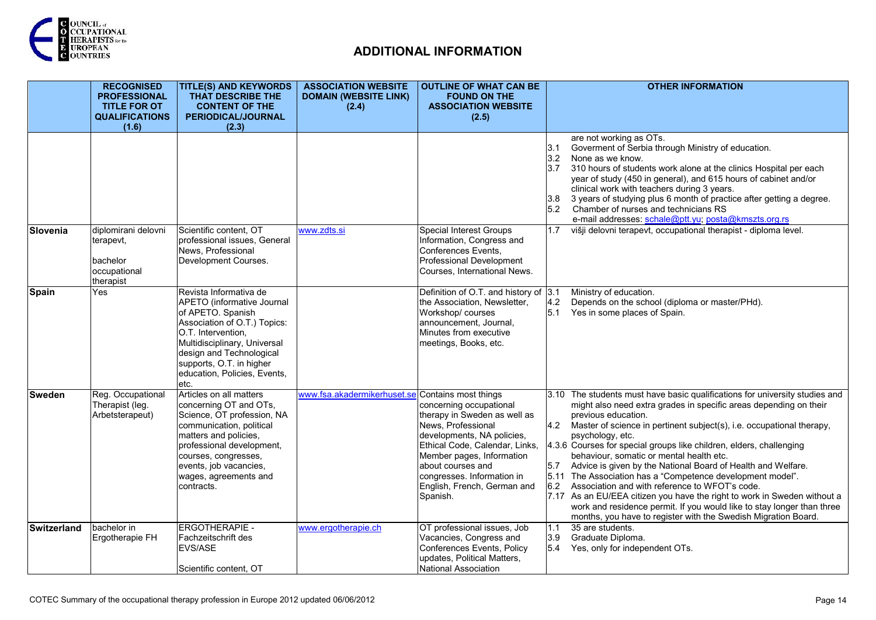

|               | <b>RECOGNISED</b><br><b>PROFESSIONAL</b><br><b>TITLE FOR OT</b>           | <b>TITLE(S) AND KEYWORDS</b><br>THAT DESCRIBE THE<br><b>CONTENT OF THE</b>                                                                                                                                                                                      | <b>ASSOCIATION WEBSITE</b><br><b>DOMAIN (WEBSITE LINK)</b><br>(2.4) | <b>OUTLINE OF WHAT CAN BE</b><br><b>FOUND ON THE</b><br><b>ASSOCIATION WEBSITE</b>                                                                                                                                                                                                               | <b>OTHER INFORMATION</b>                                                                                                                                                                                                                                                                                                                                                                                                                                                                                                                                                                                                                                                                                                                                                                                                |
|---------------|---------------------------------------------------------------------------|-----------------------------------------------------------------------------------------------------------------------------------------------------------------------------------------------------------------------------------------------------------------|---------------------------------------------------------------------|--------------------------------------------------------------------------------------------------------------------------------------------------------------------------------------------------------------------------------------------------------------------------------------------------|-------------------------------------------------------------------------------------------------------------------------------------------------------------------------------------------------------------------------------------------------------------------------------------------------------------------------------------------------------------------------------------------------------------------------------------------------------------------------------------------------------------------------------------------------------------------------------------------------------------------------------------------------------------------------------------------------------------------------------------------------------------------------------------------------------------------------|
|               | <b>QUALIFICATIONS</b><br>(1.6)                                            | <b>PERIODICAL/JOURNAL</b><br>(2.3)                                                                                                                                                                                                                              |                                                                     | (2.5)                                                                                                                                                                                                                                                                                            |                                                                                                                                                                                                                                                                                                                                                                                                                                                                                                                                                                                                                                                                                                                                                                                                                         |
|               |                                                                           |                                                                                                                                                                                                                                                                 |                                                                     |                                                                                                                                                                                                                                                                                                  | are not working as OTs.<br>Goverment of Serbia through Ministry of education.<br>3.1<br>3.2<br>None as we know.<br>310 hours of students work alone at the clinics Hospital per each<br>3.7<br>year of study (450 in general), and 615 hours of cabinet and/or<br>clinical work with teachers during 3 years.<br>3 years of studying plus 6 month of practice after getting a degree.<br>3.8<br>5.2<br>Chamber of nurses and technicians RS<br>e-mail addresses: schale@ptt.yu; posta@kmszts.org.rs                                                                                                                                                                                                                                                                                                                     |
| Slovenia      | diplomirani delovni<br>terapevt,<br>bachelor<br>occupational<br>therapist | Scientific content, OT<br>professional issues, General<br>News, Professional<br>Development Courses.                                                                                                                                                            | www.zdts.si                                                         | <b>Special Interest Groups</b><br>Information, Congress and<br>Conferences Events,<br>Professional Development<br>Courses, International News.                                                                                                                                                   | višji delovni terapevt, occupational therapist - diploma level.<br>1.7                                                                                                                                                                                                                                                                                                                                                                                                                                                                                                                                                                                                                                                                                                                                                  |
| Spain         | Yes                                                                       | Revista Informativa de<br>APETO (informative Journal<br>of APETO. Spanish<br>Association of O.T.) Topics:<br>O.T. Intervention.<br>Multidisciplinary, Universal<br>design and Technological<br>supports, O.T. in higher<br>education, Policies, Events,<br>etc. |                                                                     | Definition of O.T. and history of 3.1<br>the Association, Newsletter,<br>Workshop/courses<br>announcement, Journal,<br>Minutes from executive<br>meetings, Books, etc.                                                                                                                           | Ministry of education.<br>4.2<br>Depends on the school (diploma or master/PHd).<br>5.1<br>Yes in some places of Spain.                                                                                                                                                                                                                                                                                                                                                                                                                                                                                                                                                                                                                                                                                                  |
| <b>Sweden</b> | Reg. Occupational<br>Therapist (leg.<br>Arbetsterapeut)                   | Articles on all matters<br>concerning OT and OTs,<br>Science, OT profession, NA<br>communication, political<br>matters and policies,<br>professional development,<br>courses, congresses,<br>events, job vacancies,<br>wages, agreements and<br>contracts.      | www.fsa.akadermikerhuset.se                                         | Contains most things<br>concerning occupational<br>therapy in Sweden as well as<br>News, Professional<br>developments, NA policies,<br>Ethical Code, Calendar, Links,<br>Member pages, Information<br>about courses and<br>congresses. Information in<br>English, French, German and<br>Spanish. | The students must have basic qualifications for university studies and<br>3.10<br>might also need extra grades in specific areas depending on their<br>previous education.<br>4.2<br>Master of science in pertinent subject(s), i.e. occupational therapy,<br>psychology, etc.<br>4.3.6 Courses for special groups like children, elders, challenging<br>behaviour, somatic or mental health etc.<br>5.7<br>Advice is given by the National Board of Health and Welfare.<br>5.11 The Association has a "Competence development model".<br>6.2<br>Association and with reference to WFOT's code.<br>7.17 As an EU/EEA citizen you have the right to work in Sweden without a<br>work and residence permit. If you would like to stay longer than three<br>months, you have to register with the Swedish Migration Board. |
| Switzerland   | bachelor in<br>Ergotherapie FH                                            | <b>ERGOTHERAPIE -</b><br>Fachzeitschrift des<br>EVS/ASE<br>Scientific content. OT                                                                                                                                                                               | www.ergotherapie.ch                                                 | OT professional issues, Job<br>Vacancies, Congress and<br>Conferences Events, Policy<br>updates, Political Matters,<br>National Association                                                                                                                                                      | 35 are students.<br>1.1<br>3.9<br>Graduate Diploma.<br>5.4 Yes, only for independent OTs.                                                                                                                                                                                                                                                                                                                                                                                                                                                                                                                                                                                                                                                                                                                               |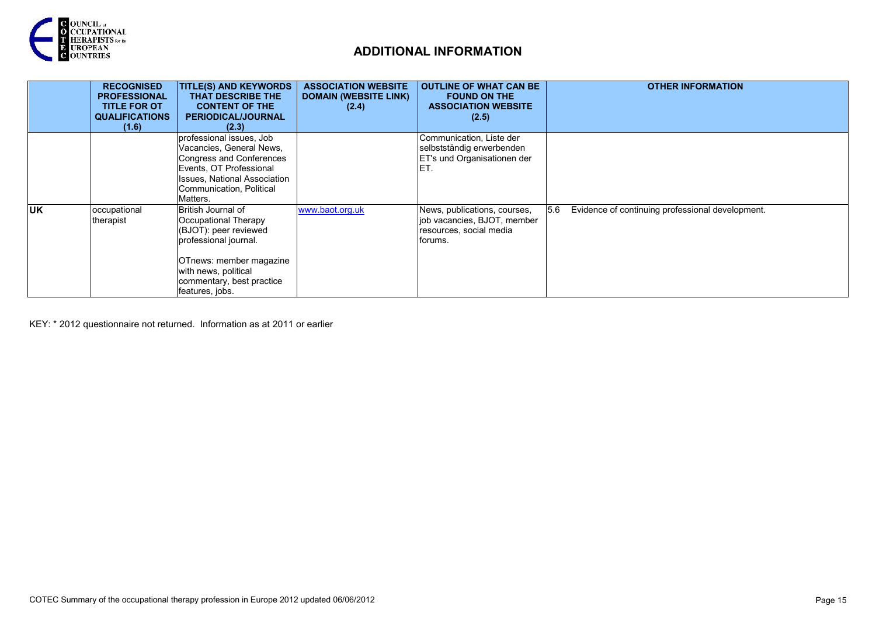

|            | <b>RECOGNISED</b><br><b>PROFESSIONAL</b><br><b>TITLE FOR OT</b><br><b>QUALIFICATIONS</b><br>(1.6) | <b>TITLE(S) AND KEYWORDS</b><br><b>THAT DESCRIBE THE</b><br><b>CONTENT OF THE</b><br><b>PERIODICAL/JOURNAL</b><br>(2.3)                                                                         | <b>ASSOCIATION WEBSITE</b><br><b>DOMAIN (WEBSITE LINK)</b><br>(2.4) | <b>OUTLINE OF WHAT CAN BE</b><br><b>FOUND ON THE</b><br><b>ASSOCIATION WEBSITE</b><br>(2.5)       | <b>OTHER INFORMATION</b>                                |
|------------|---------------------------------------------------------------------------------------------------|-------------------------------------------------------------------------------------------------------------------------------------------------------------------------------------------------|---------------------------------------------------------------------|---------------------------------------------------------------------------------------------------|---------------------------------------------------------|
|            |                                                                                                   | professional issues, Job<br>Vacancies, General News,<br>Congress and Conferences<br>Events, OT Professional<br><b>Issues, National Association</b><br>Communication, Political<br>Matters.      |                                                                     | Communication, Liste der<br>selbstständig erwerbenden<br>ET's und Organisationen der<br>ET.       |                                                         |
| <b>IUK</b> | occupational<br>therapist                                                                         | British Journal of<br>Occupational Therapy<br>(BJOT): peer reviewed<br>professional journal.<br>OTnews: member magazine<br>with news, political<br>commentary, best practice<br>features, jobs. | www.baot.org.uk                                                     | News, publications, courses,<br>job vacancies, BJOT, member<br>resources, social media<br>forums. | 5.6<br>Evidence of continuing professional development. |

KEY: \* 2012 questionnaire not returned. Information as at 2011 or earlier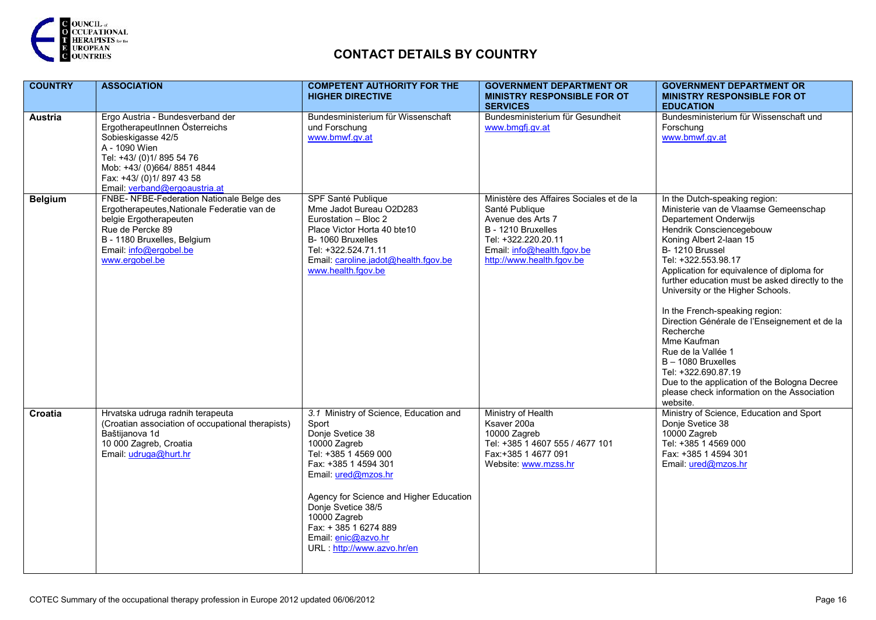

| <b>COUNTRY</b> | <b>ASSOCIATION</b>                                                                                                                                                                                                                 | <b>COMPETENT AUTHORITY FOR THE</b><br><b>HIGHER DIRECTIVE</b>                                                                                                                                                                                                                                                            | <b>GOVERNMENT DEPARTMENT OR</b><br><b>MINISTRY RESPONSIBLE FOR OT</b><br><b>SERVICES</b>                                                                                                | <b>GOVERNMENT DEPARTMENT OR</b><br><b>MINISTRY RESPONSIBLE FOR OT</b><br><b>EDUCATION</b>                                                                                                                                                                                                                                                                                                                                                                                                                                                                                                                                            |
|----------------|------------------------------------------------------------------------------------------------------------------------------------------------------------------------------------------------------------------------------------|--------------------------------------------------------------------------------------------------------------------------------------------------------------------------------------------------------------------------------------------------------------------------------------------------------------------------|-----------------------------------------------------------------------------------------------------------------------------------------------------------------------------------------|--------------------------------------------------------------------------------------------------------------------------------------------------------------------------------------------------------------------------------------------------------------------------------------------------------------------------------------------------------------------------------------------------------------------------------------------------------------------------------------------------------------------------------------------------------------------------------------------------------------------------------------|
| <b>Austria</b> | Ergo Austria - Bundesverband der<br>ErgotherapeutInnen Österreichs<br>Sobieskigasse 42/5<br>A - 1090 Wien<br>Tel: +43/ (0)1/ 895 54 76<br>Mob: +43/ (0)664/ 8851 4844<br>Fax: +43/ (0)1/897 43 58<br>Email: verband@ergoaustria.at | Bundesministerium für Wissenschaft<br>und Forschung<br>www.bmwf.gv.at                                                                                                                                                                                                                                                    | Bundesministerium für Gesundheit<br>www.bmgfj.gv.at                                                                                                                                     | Bundesministerium für Wissenschaft und<br>Forschung<br>www.bmwf.gv.at                                                                                                                                                                                                                                                                                                                                                                                                                                                                                                                                                                |
| <b>Belgium</b> | FNBE- NFBE-Federation Nationale Belge des<br>Ergotherapeutes, Nationale Federatie van de<br>belgie Ergotherapeuten<br>Rue de Percke 89<br>B - 1180 Bruxelles, Belgium<br>Email: info@ergobel.be<br>www.ergobel.be                  | SPF Santé Publique<br>Mme Jadot Bureau O2D283<br>Eurostation - Bloc 2<br>Place Victor Horta 40 bte10<br>B-1060 Bruxelles<br>Tel: +322.524.71.11<br>Email: caroline.jadot@health.fgov.be<br>www.health.fgov.be                                                                                                            | Ministère des Affaires Sociales et de la<br>Santé Publique<br>Avenue des Arts 7<br>B - 1210 Bruxelles<br>Tel: +322.220.20.11<br>Email: info@health.fgov.be<br>http://www.health.fgov.be | In the Dutch-speaking region:<br>Ministerie van de Vlaamse Gemeenschap<br>Departement Onderwijs<br>Hendrik Consciencegebouw<br>Koning Albert 2-laan 15<br>B-1210 Brussel<br>Tel: +322.553.98.17<br>Application for equivalence of diploma for<br>further education must be asked directly to the<br>University or the Higher Schools.<br>In the French-speaking region:<br>Direction Générale de l'Enseignement et de la<br>Recherche<br>Mme Kaufman<br>Rue de la Vallée 1<br>$B - 1080$ Bruxelles<br>Tel: +322.690.87.19<br>Due to the application of the Bologna Decree<br>please check information on the Association<br>website. |
| Croatia        | Hrvatska udruga radnih terapeuta<br>(Croatian association of occupational therapists)<br>Baštijanova 1d<br>10 000 Zagreb, Croatia<br>Email: udruga@hurt.hr                                                                         | 3.1 Ministry of Science, Education and<br>Sport<br>Donje Svetice 38<br>10000 Zagreb<br>Tel: +385 1 4569 000<br>Fax: +385 1 4594 301<br>Email: ured@mzos.hr<br>Agency for Science and Higher Education<br>Donje Svetice 38/5<br>10000 Zagreb<br>Fax: +385 1 6274 889<br>Email: enic@azvo.hr<br>URL: http://www.azvo.hr/en | Ministry of Health<br>Ksaver 200a<br>10000 Zagreb<br>Tel: +385 1 4607 555 / 4677 101<br>Fax: +385 1 4677 091<br>Website: www.mzss.hr                                                    | Ministry of Science, Education and Sport<br>Donje Svetice 38<br>10000 Zagreb<br>Tel: +385 1 4569 000<br>Fax: +385 1 4594 301<br>Email: ured@mzos.hr                                                                                                                                                                                                                                                                                                                                                                                                                                                                                  |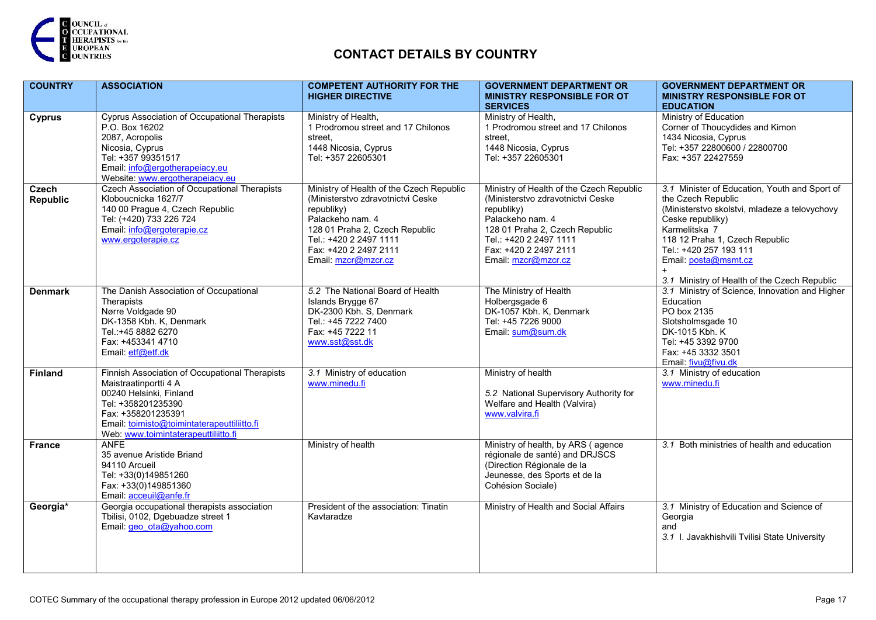

| <b>COUNTRY</b>                  | <b>ASSOCIATION</b>                                                                                                                                                                                                                    | <b>COMPETENT AUTHORITY FOR THE</b>                                                                                                                                                                                          | <b>GOVERNMENT DEPARTMENT OR</b>                                                                                                                                                                                             | <b>GOVERNMENT DEPARTMENT OR</b>                                                                                                                                                                                                                                                               |
|---------------------------------|---------------------------------------------------------------------------------------------------------------------------------------------------------------------------------------------------------------------------------------|-----------------------------------------------------------------------------------------------------------------------------------------------------------------------------------------------------------------------------|-----------------------------------------------------------------------------------------------------------------------------------------------------------------------------------------------------------------------------|-----------------------------------------------------------------------------------------------------------------------------------------------------------------------------------------------------------------------------------------------------------------------------------------------|
|                                 |                                                                                                                                                                                                                                       | <b>HIGHER DIRECTIVE</b>                                                                                                                                                                                                     | <b>MINISTRY RESPONSIBLE FOR OT</b><br><b>SERVICES</b>                                                                                                                                                                       | <b>MINISTRY RESPONSIBLE FOR OT</b><br><b>EDUCATION</b>                                                                                                                                                                                                                                        |
| <b>Cyprus</b>                   | Cyprus Association of Occupational Therapists<br>P.O. Box 16202<br>2087, Acropolis<br>Nicosia, Cyprus<br>Tel: +357 99351517<br>Email: info@ergotherapeiacy.eu<br>Website: www.ergotherapeiacy.eu                                      | Ministry of Health,<br>1 Prodromou street and 17 Chilonos<br>street.<br>1448 Nicosia, Cyprus<br>Tel: +357 22605301                                                                                                          | Ministry of Health,<br>1 Prodromou street and 17 Chilonos<br>street.<br>1448 Nicosia, Cyprus<br>Tel: +357 22605301                                                                                                          | Ministry of Education<br>Corner of Thoucydides and Kimon<br>1434 Nicosia, Cyprus<br>Tel: +357 22800600 / 22800700<br>Fax: +357 22427559                                                                                                                                                       |
| <b>Czech</b><br><b>Republic</b> | <b>Czech Association of Occupational Therapists</b><br>Kloboucnicka 1627/7<br>140 00 Prague 4, Czech Republic<br>Tel: (+420) 733 226 724<br>Email info@ergoterapie.cz<br>www.ergoterapie.cz                                           | Ministry of Health of the Czech Republic<br>(Ministerstvo zdravotnictvi Ceske<br>republiky)<br>Palackeho nam. 4<br>128 01 Praha 2, Czech Republic<br>Tel.: +420 2 2497 1111<br>Fax: +420 2 2497 2111<br>Email: mzcr@mzcr.cz | Ministry of Health of the Czech Republic<br>(Ministerstvo zdravotnictvi Ceske<br>republiky)<br>Palackeho nam. 4<br>128 01 Praha 2, Czech Republic<br>Tel.: +420 2 2497 1111<br>Fax: +420 2 2497 2111<br>Email: mzcr@mzcr.cz | 3.1 Minister of Education, Youth and Sport of<br>the Czech Republic<br>(Ministerstvo skolstvi, mladeze a telovychovy<br>Ceske republiky)<br>Karmelitska 7<br>118 12 Praha 1, Czech Republic<br>Tel.: +420 257 193 111<br>Email: posta@msmt.cz<br>3.1 Ministry of Health of the Czech Republic |
| <b>Denmark</b>                  | The Danish Association of Occupational<br>Therapists<br>Nørre Voldgade 90<br>DK-1358 Kbh. K, Denmark<br>Tel.: +45 8882 6270<br>Fax: +453341 4710<br>Email: etf@etf.dk                                                                 | 5.2 The National Board of Health<br>Islands Brygge 67<br>DK-2300 Kbh. S, Denmark<br>Tel.: +45 7222 7400<br>Fax: +45 7222 11<br>www.sst@sst.dk                                                                               | The Ministry of Health<br>Holbergsgade 6<br>DK-1057 Kbh. K, Denmark<br>Tel: +45 7226 9000<br>Email: sum@sum.dk                                                                                                              | 3.1 Ministry of Science, Innovation and Higher<br>Education<br>PO box 2135<br>Slotsholmsgade 10<br>DK-1015 Kbh. K<br>Tel: +45 3392 9700<br>Fax: +45 3332 3501<br>Email: fivu@fivu.dk                                                                                                          |
| Finland                         | Finnish Association of Occupational Therapists<br>Maistraatinportti 4 A<br>00240 Helsinki, Finland<br>Tel: +358201235390<br>Fax: +358201235391<br>Email: toimisto@toimintaterapeuttiliitto.fi<br>Web: www.toimintaterapeuttiliitto.fi | 3.1 Ministry of education<br>www.minedu.fi                                                                                                                                                                                  | Ministry of health<br>5.2 National Supervisory Authority for<br>Welfare and Health (Valvira)<br>www.valvira.fi                                                                                                              | 3.1 Ministry of education<br>www.minedu.fi                                                                                                                                                                                                                                                    |
| <b>France</b>                   | <b>ANFE</b><br>35 avenue Aristide Briand<br>94110 Arcueil<br>Tel: +33(0)149851260<br>Fax: +33(0)149851360<br>Email acceuil@anfe.fr                                                                                                    | Ministry of health                                                                                                                                                                                                          | Ministry of health, by ARS (agence<br>régionale de santé) and DRJSCS<br>(Direction Régionale de la<br>Jeunesse, des Sports et de la<br>Cohésion Sociale)                                                                    | 3.1 Both ministries of health and education                                                                                                                                                                                                                                                   |
| Georgia*                        | Georgia occupational therapists association<br>Tbilisi, 0102, Dgebuadze street 1<br>Email geo ota@yahoo.com                                                                                                                           | President of the association: Tinatin<br>Kavtaradze                                                                                                                                                                         | Ministry of Health and Social Affairs                                                                                                                                                                                       | 3.1 Ministry of Education and Science of<br>Georgia<br>and<br>3.1 I. Javakhishvili Tvilisi State University                                                                                                                                                                                   |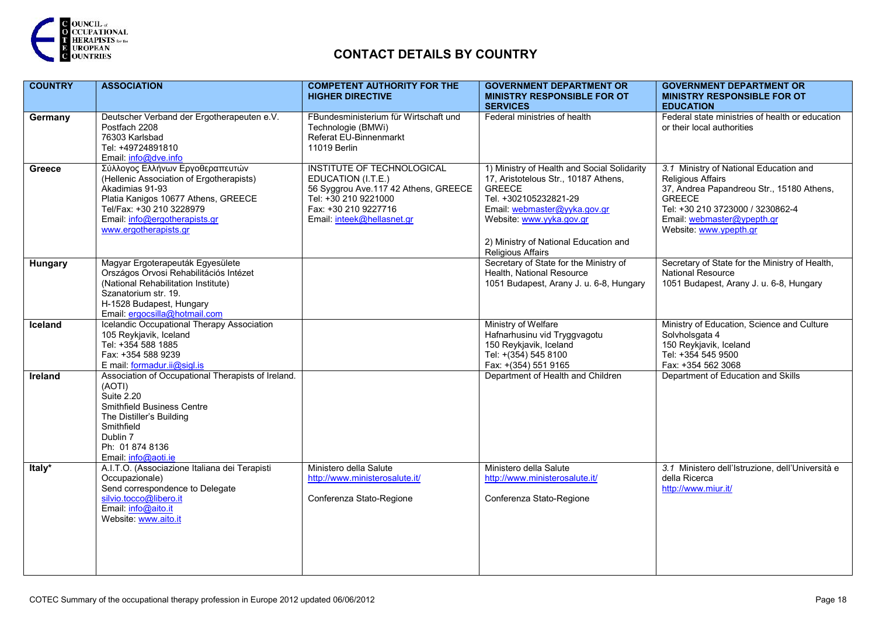

| <b>COUNTRY</b> | <b>ASSOCIATION</b>                                                                                                                                                                                                         | <b>COMPETENT AUTHORITY FOR THE</b><br><b>HIGHER DIRECTIVE</b>                                                                                                          | <b>GOVERNMENT DEPARTMENT OR</b><br><b>MINISTRY RESPONSIBLE FOR OT</b><br><b>SERVICES</b>                                                                                                                                                                | <b>GOVERNMENT DEPARTMENT OR</b><br><b>MINISTRY RESPONSIBLE FOR OT</b><br><b>EDUCATION</b>                                                                                                                                   |
|----------------|----------------------------------------------------------------------------------------------------------------------------------------------------------------------------------------------------------------------------|------------------------------------------------------------------------------------------------------------------------------------------------------------------------|---------------------------------------------------------------------------------------------------------------------------------------------------------------------------------------------------------------------------------------------------------|-----------------------------------------------------------------------------------------------------------------------------------------------------------------------------------------------------------------------------|
| Germany        | Deutscher Verband der Ergotherapeuten e.V.<br>Postfach 2208<br>76303 Karlsbad<br>Tel: +49724891810<br>Email. info@dve.info                                                                                                 | FBundesministerium für Wirtschaft und<br>Technologie (BMWi)<br>Referat EU-Binnenmarkt<br>11019 Berlin                                                                  | Federal ministries of health                                                                                                                                                                                                                            | Federal state ministries of health or education<br>or their local authorities                                                                                                                                               |
| Greece         | Σύλλογος Ελλήνων Εργοθεραπευτών<br>(Hellenic Association of Ergotherapists)<br>Akadimias 91-93<br>Platia Kanigos 10677 Athens, GREECE<br>Tel/Fax: +30 210 3228979<br>Email info@ergotherapists.gr<br>www.ergotherapists.gr | INSTITUTE OF TECHNOLOGICAL<br>EDUCATION (I.T.E.)<br>56 Syggrou Ave.117 42 Athens, GREECE<br>Tel: +30 210 9221000<br>Fax: +30 210 9227716<br>Email: inteek@hellasnet.gr | 1) Ministry of Health and Social Solidarity<br>17, Aristotelous Str., 10187 Athens,<br><b>GREECE</b><br>Tel. +302105232821-29<br>Email: webmaster@yyka.gov.gr<br>Website: www.yyka.gov.gr<br>2) Ministry of National Education and<br>Religious Affairs | 3.1 Ministry of National Education and<br><b>Religious Affairs</b><br>37, Andrea Papandreou Str., 15180 Athens,<br><b>GREECE</b><br>Tel: +30 210 3723000 / 3230862-4<br>Email webmaster@ypepth.gr<br>Website: www.ypepth.gr |
| Hungary        | Magyar Ergoterapeuták Egyesülete<br>Országos Orvosi Rehabilitációs Intézet<br>(National Rehabilitation Institute)<br>Szanatorium str. 19.<br>H-1528 Budapest, Hungary<br>Email ergocsilla@hotmail.com                      |                                                                                                                                                                        | Secretary of State for the Ministry of<br>Health, National Resource<br>1051 Budapest, Arany J. u. 6-8, Hungary                                                                                                                                          | Secretary of State for the Ministry of Health,<br>National Resource<br>1051 Budapest, Arany J. u. 6-8, Hungary                                                                                                              |
| Iceland        | Icelandic Occupational Therapy Association<br>105 Reykjavik, Iceland<br>Tel: +354 588 1885<br>Fax: +354 588 9239<br>E mail: formadur.ii@sigl.is                                                                            |                                                                                                                                                                        | Ministry of Welfare<br>Hafnarhusinu vid Tryggvagotu<br>150 Reykjavik, Iceland<br>Tel: +(354) 545 8100<br>Fax: +(354) 551 9165                                                                                                                           | Ministry of Education, Science and Culture<br>Solvholsgata 4<br>150 Reykjavik, Iceland<br>Tel: +354 545 9500<br>Fax: +354 562 3068                                                                                          |
| <b>Ireland</b> | Association of Occupational Therapists of Ireland.<br>(AOTI)<br><b>Suite 2.20</b><br>Smithfield Business Centre<br>The Distiller's Building<br>Smithfield<br>Dublin 7<br>Ph: 01 874 8136<br>Email: info@aoti.ie            |                                                                                                                                                                        | Department of Health and Children                                                                                                                                                                                                                       | Department of Education and Skills                                                                                                                                                                                          |
| Italy*         | A.I.T.O. (Associazione Italiana dei Terapisti<br>Occupazionale)<br>Send correspondence to Delegate<br>silvio.tocco@libero.it<br>Email: info@aito.it<br>Website: www.aito.it                                                | Ministero della Salute<br>http://www.ministerosalute.it/<br>Conferenza Stato-Regione                                                                                   | Ministero della Salute<br>http://www.ministerosalute.it/<br>Conferenza Stato-Regione                                                                                                                                                                    | 3.1 Ministero dell'Istruzione, dell'Università e<br>della Ricerca<br>http://www.miur.it/                                                                                                                                    |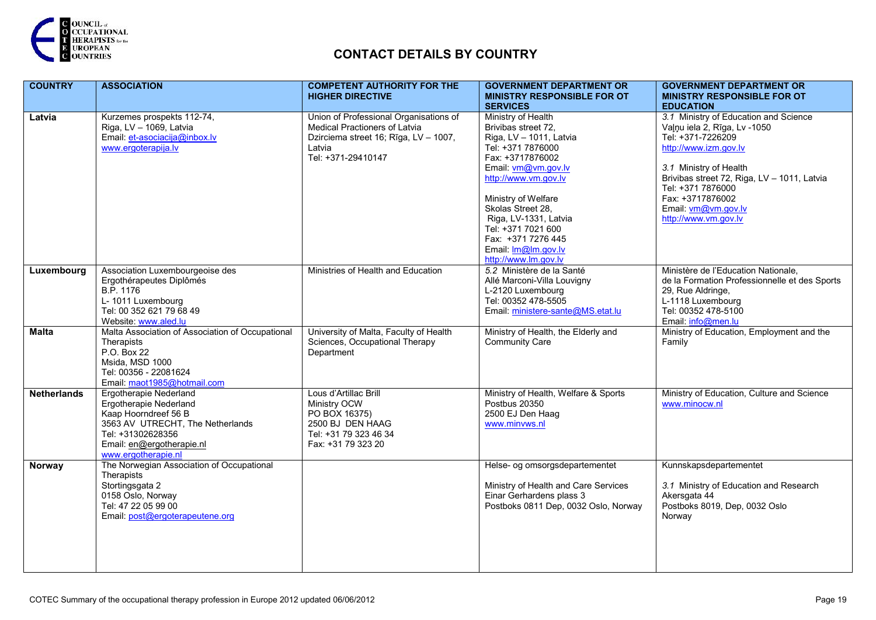

| <b>COUNTRY</b>     | <b>ASSOCIATION</b>                                                                                                                                                                           | <b>COMPETENT AUTHORITY FOR THE</b><br><b>HIGHER DIRECTIVE</b>                                                                                    | <b>GOVERNMENT DEPARTMENT OR</b><br><b>MINISTRY RESPONSIBLE FOR OT</b>                                                                                                                                                                                                                                                                           | <b>GOVERNMENT DEPARTMENT OR</b><br><b>MINISTRY RESPONSIBLE FOR OT</b>                                                                                                                                                                                                                                    |
|--------------------|----------------------------------------------------------------------------------------------------------------------------------------------------------------------------------------------|--------------------------------------------------------------------------------------------------------------------------------------------------|-------------------------------------------------------------------------------------------------------------------------------------------------------------------------------------------------------------------------------------------------------------------------------------------------------------------------------------------------|----------------------------------------------------------------------------------------------------------------------------------------------------------------------------------------------------------------------------------------------------------------------------------------------------------|
| Latvia             | Kurzemes prospekts 112-74,<br>Riga, LV - 1069, Latvia<br>Email et-asociacija@inbox.lv<br>www.ergoterapija.lv                                                                                 | Union of Professional Organisations of<br>Medical Practioners of Latvia<br>Dzirciema street 16; Rīga, LV - 1007,<br>Latvia<br>Tel: +371-29410147 | <b>SERVICES</b><br>Ministry of Health<br>Brivibas street 72.<br>Riga, LV - 1011, Latvia<br>Tel: +371 7876000<br>Fax: +3717876002<br>Email: vm@vm.gov.lv<br>http://www.vm.gov.lv<br>Ministry of Welfare<br>Skolas Street 28.<br>Riga, LV-1331, Latvia<br>Tel: +371 7021 600<br>Fax: +371 7276 445<br>Email: Im@Im.gov.lv<br>http://www.lm.gov.lv | <b>EDUCATION</b><br>3.1 Ministry of Education and Science<br>Valnu iela 2, Rīga, Lv -1050<br>Tel: +371-7226209<br>http://www.izm.gov.lv<br>3.1 Ministry of Health<br>Brivibas street 72, Riga, LV - 1011, Latvia<br>Tel: +371 7876000<br>Fax: +3717876002<br>Email. vm@vm.gov.lv<br>http://www.vm.gov.lv |
| Luxembourg         | Association Luxembourgeoise des<br>Ergothérapeutes Diplômés<br>B.P. 1176<br>L- 1011 Luxembourg<br>Tel: 00 352 621 79 68 49<br>Website www.aled.lu                                            | Ministries of Health and Education                                                                                                               | 5.2 Ministère de la Santé<br>Allé Marconi-Villa Louvigny<br>L-2120 Luxembourg<br>Tel: 00352 478-5505<br>Email: ministere-sante@MS.etat.lu                                                                                                                                                                                                       | Ministère de l'Education Nationale,<br>de la Formation Professionnelle et des Sports<br>29, Rue Aldringe,<br>L-1118 Luxembourg<br>Tel: 00352 478-5100<br>Email: info@men.lu                                                                                                                              |
| <b>Malta</b>       | Malta Association of Association of Occupational<br>Therapists<br>P.O. Box 22<br>Msida, MSD 1000<br>Tel: 00356 - 22081624<br>Email: maot1985@hotmail.com                                     | University of Malta, Faculty of Health<br>Sciences, Occupational Therapy<br>Department                                                           | Ministry of Health, the Elderly and<br><b>Community Care</b>                                                                                                                                                                                                                                                                                    | Ministry of Education, Employment and the<br>Family                                                                                                                                                                                                                                                      |
| <b>Netherlands</b> | <b>Ergotherapie Nederland</b><br>Ergotherapie Nederland<br>Kaap Hoorndreef 56 B<br>3563 AV UTRECHT, The Netherlands<br>Tel: +31302628356<br>Email: en@ergotherapie.nl<br>www.ergotherapie.nl | Lous d'Artillac Brill<br>Ministry OCW<br>PO BOX 16375)<br>2500 BJ DEN HAAG<br>Tel: +31 79 323 46 34<br>Fax: +31 79 323 20                        | Ministry of Health, Welfare & Sports<br>Postbus 20350<br>2500 EJ Den Haag<br>www.minvws.nl                                                                                                                                                                                                                                                      | Ministry of Education, Culture and Science<br>www.minocw.nl                                                                                                                                                                                                                                              |
| Norway             | The Norwegian Association of Occupational<br>Therapists<br>Stortingsgata 2<br>0158 Oslo, Norway<br>Tel: 47 22 05 99 00<br>Email: post@ergoterapeutene.org                                    |                                                                                                                                                  | Helse- og omsorgsdepartementet<br>Ministry of Health and Care Services<br>Einar Gerhardens plass 3<br>Postboks 0811 Dep, 0032 Oslo, Norway                                                                                                                                                                                                      | Kunnskapsdepartementet<br>3.1 Ministry of Education and Research<br>Akersgata 44<br>Postboks 8019, Dep, 0032 Oslo<br>Norway                                                                                                                                                                              |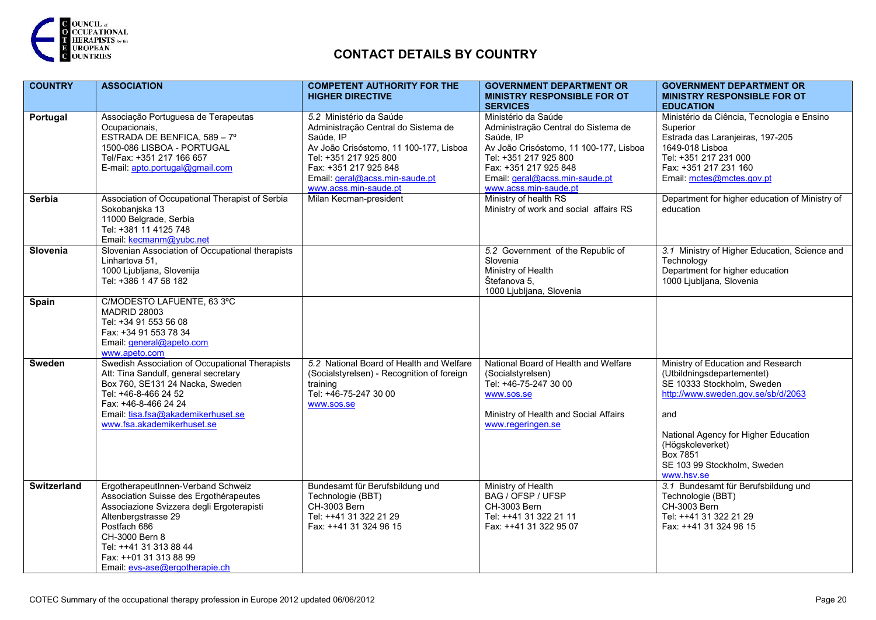

| <b>COUNTRY</b>     | <b>ASSOCIATION</b>                               | <b>COMPETENT AUTHORITY FOR THE</b>         | <b>GOVERNMENT DEPARTMENT OR</b>        | <b>GOVERNMENT DEPARTMENT OR</b>                |
|--------------------|--------------------------------------------------|--------------------------------------------|----------------------------------------|------------------------------------------------|
|                    |                                                  | <b>HIGHER DIRECTIVE</b>                    | <b>MINISTRY RESPONSIBLE FOR OT</b>     | <b>MINISTRY RESPONSIBLE FOR OT</b>             |
|                    |                                                  |                                            | <b>SERVICES</b>                        | <b>EDUCATION</b>                               |
| Portugal           | Associação Portuguesa de Terapeutas              | 5.2 Ministério da Saúde                    | Ministério da Saúde                    | Ministério da Ciência, Tecnologia e Ensino     |
|                    | Ocupacionais,                                    | Administração Central do Sistema de        | Administração Central do Sistema de    | Superior                                       |
|                    | ESTRADA DE BENFICA, 589 - 7°                     | Saúde, IP                                  | Saúde, IP                              | Estrada das Laranjeiras, 197-205               |
|                    | 1500-086 LISBOA - PORTUGAL                       | Av João Crisóstomo, 11 100-177, Lisboa     | Av João Crisóstomo, 11 100-177, Lisboa | 1649-018 Lisboa                                |
|                    | Tel/Fax: +351 217 166 657                        | Tel: +351 217 925 800                      | Tel: +351 217 925 800                  | Tel: +351 217 231 000                          |
|                    | E-mail: apto.portugal@gmail.com                  | Fax: +351 217 925 848                      | Fax: +351 217 925 848                  | Fax: +351 217 231 160                          |
|                    |                                                  | Email: geral@acss.min-saude.pt             | Email: geral@acss.min-saude.pt         | Email: mctes@mctes.gov.pt                      |
|                    |                                                  | www.acss.min-saude.pt                      | www.acss.min-saude.pt                  |                                                |
| Serbia             | Association of Occupational Therapist of Serbia  | Milan Kecman-president                     | Ministry of health RS                  | Department for higher education of Ministry of |
|                    | Sokobanjska 13                                   |                                            | Ministry of work and social affairs RS | education                                      |
|                    | 11000 Belgrade, Serbia                           |                                            |                                        |                                                |
|                    | Tel: +381 11 4125 748                            |                                            |                                        |                                                |
|                    | Email kecmanm@yubc.net                           |                                            |                                        |                                                |
| Slovenia           | Slovenian Association of Occupational therapists |                                            | 5.2 Government of the Republic of      | 3.1 Ministry of Higher Education, Science and  |
|                    | Linhartova 51,                                   |                                            | Slovenia                               | Technology                                     |
|                    | 1000 Ljubljana, Slovenija                        |                                            | Ministry of Health                     | Department for higher education                |
|                    | Tel: +386 1 47 58 182                            |                                            | Štefanova 5,                           | 1000 Ljubljana, Slovenia                       |
|                    |                                                  |                                            | 1000 Ljubljana, Slovenia               |                                                |
| <b>Spain</b>       | C/MODESTO LAFUENTE, 63 3°C                       |                                            |                                        |                                                |
|                    | <b>MADRID 28003</b>                              |                                            |                                        |                                                |
|                    | Tel: +34 91 553 56 08                            |                                            |                                        |                                                |
|                    | Fax: +34 91 553 78 34                            |                                            |                                        |                                                |
|                    | Email general@apeto.com                          |                                            |                                        |                                                |
|                    | www.apeto.com                                    |                                            |                                        |                                                |
| Sweden             | Swedish Association of Occupational Therapists   | 5.2 National Board of Health and Welfare   | National Board of Health and Welfare   | Ministry of Education and Research             |
|                    | Att: Tina Sandulf, general secretary             | (Socialstyrelsen) - Recognition of foreign | (Socialstyrelsen)                      | (Utbildningsdepartementet)                     |
|                    | Box 760, SE131 24 Nacka, Sweden                  | training                                   | Tel: +46-75-247 30 00                  | SE 10333 Stockholm, Sweden                     |
|                    | Tel: +46-8-466 24 52                             | Tel: +46-75-247 30 00                      | www.sos.se                             | http://www.sweden.gov.se/sb/d/2063             |
|                    | Fax: +46-8-466 24 24                             | www.sos.se                                 |                                        |                                                |
|                    | Email: tisa.fsa@akademikerhuset.se               |                                            | Ministry of Health and Social Affairs  | and                                            |
|                    | www.fsa.akademikerhuset.se                       |                                            | www.regeringen.se                      |                                                |
|                    |                                                  |                                            |                                        | National Agency for Higher Education           |
|                    |                                                  |                                            |                                        | (Högskoleverket)                               |
|                    |                                                  |                                            |                                        | Box 7851                                       |
|                    |                                                  |                                            |                                        | SE 103 99 Stockholm, Sweden                    |
|                    |                                                  |                                            |                                        | www.hsv.se                                     |
| <b>Switzerland</b> | ErgotherapeutInnen-Verband Schweiz               | Bundesamt für Berufsbildung und            | Ministry of Health                     | 3.1 Bundesamt für Berufsbildung und            |
|                    | Association Suisse des Ergothérapeutes           | Technologie (BBT)                          | BAG / OFSP / UFSP                      | Technologie (BBT)                              |
|                    | Associazione Svizzera degli Ergoterapisti        | CH-3003 Bern                               | CH-3003 Bern                           | CH-3003 Bern                                   |
|                    | Altenbergstrasse 29                              | Tel: ++41 31 322 21 29                     | Tel: ++41 31 322 21 11                 | Tel: ++41 31 322 21 29                         |
|                    | Postfach 686                                     | Fax: ++41 31 324 96 15                     | Fax: ++41 31 322 95 07                 | Fax: ++41 31 324 96 15                         |
|                    | CH-3000 Bern 8                                   |                                            |                                        |                                                |
|                    | Tel: ++41 31 313 88 44                           |                                            |                                        |                                                |
|                    | Fax: ++01 31 313 88 99                           |                                            |                                        |                                                |
|                    | Email evs-ase@ergotherapie.ch                    |                                            |                                        |                                                |